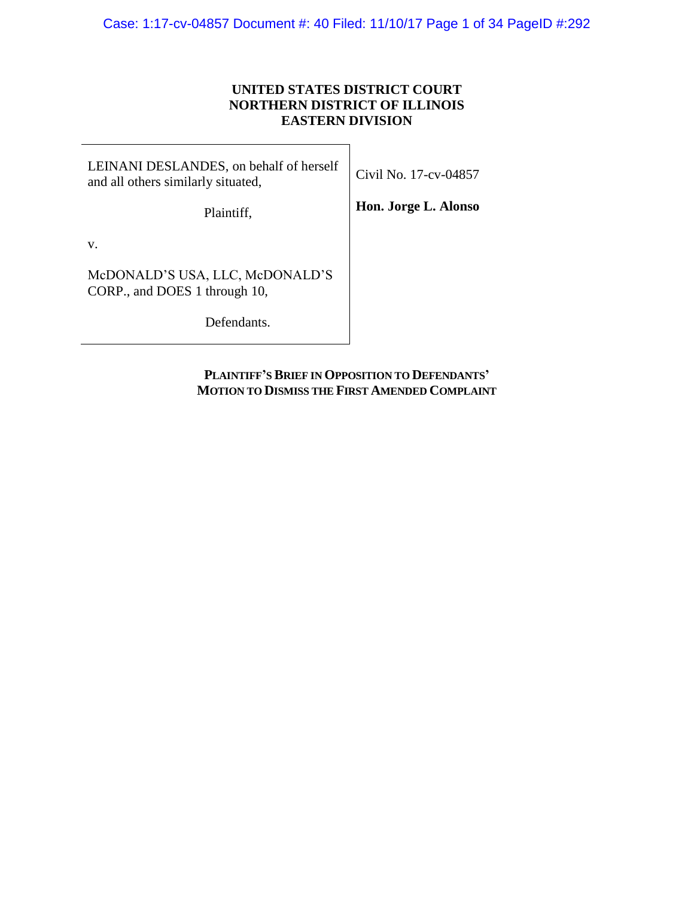## **UNITED STATES DISTRICT COURT NORTHERN DISTRICT OF ILLINOIS EASTERN DIVISION**

 $\blacksquare$ 

| LEINANI DESLANDES, on behalf of herself<br>and all others similarly situated, | Civil No. 17-cv-04857 |
|-------------------------------------------------------------------------------|-----------------------|
| Plaintiff,                                                                    | Hon. Jorge L. Alonso  |
| V.                                                                            |                       |
| McDONALD'S USA, LLC, McDONALD'S<br>CORP., and DOES 1 through 10,              |                       |
| Defendants.                                                                   |                       |

**PLAINTIFF'S BRIEF IN OPPOSITION TO DEFENDANTS' MOTION TO DISMISS THE FIRST AMENDED COMPLAINT**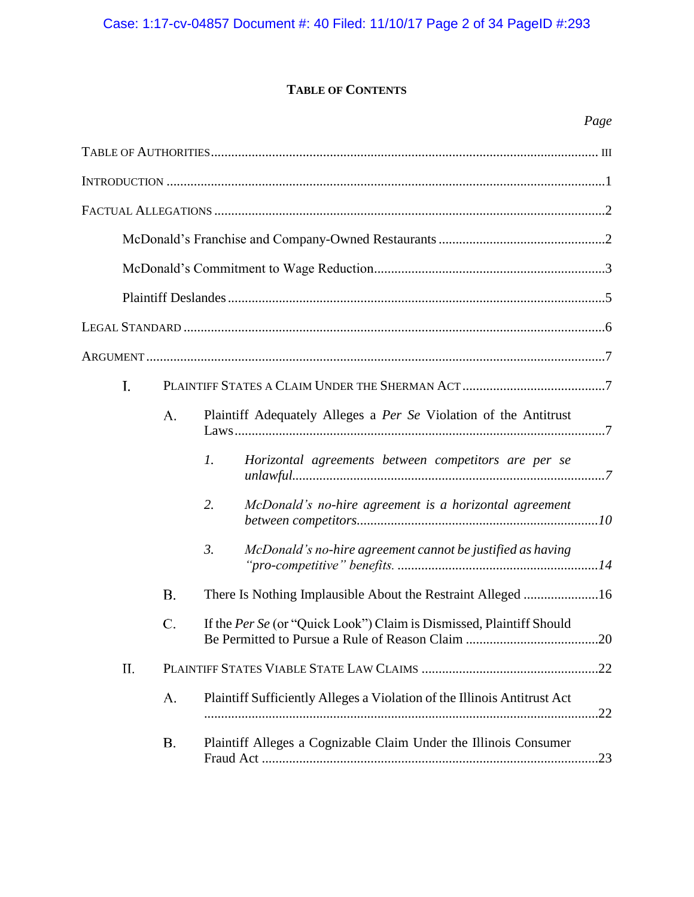# Case: 1:17-cv-04857 Document #: 40 Filed: 11/10/17 Page 2 of 34 PageID #:293

# **TABLE OF CONTENTS**

|     |           | Page                                                                           |  |
|-----|-----------|--------------------------------------------------------------------------------|--|
|     |           |                                                                                |  |
|     |           |                                                                                |  |
|     |           |                                                                                |  |
|     |           |                                                                                |  |
|     |           |                                                                                |  |
|     |           |                                                                                |  |
|     |           |                                                                                |  |
|     |           |                                                                                |  |
| I.  |           |                                                                                |  |
|     | A.        | Plaintiff Adequately Alleges a Per Se Violation of the Antitrust               |  |
|     |           | $\mathfrak{1}.$<br>Horizontal agreements between competitors are per se        |  |
|     |           | 2.<br>McDonald's no-hire agreement is a horizontal agreement                   |  |
|     |           | $\mathfrak{Z}$ .<br>McDonald's no-hire agreement cannot be justified as having |  |
|     | <b>B.</b> |                                                                                |  |
|     | C.        | If the Per Se (or "Quick Look") Claim is Dismissed, Plaintiff Should           |  |
| II. |           |                                                                                |  |
|     | A.        | Plaintiff Sufficiently Alleges a Violation of the Illinois Antitrust Act       |  |
|     | B.        | Plaintiff Alleges a Cognizable Claim Under the Illinois Consumer               |  |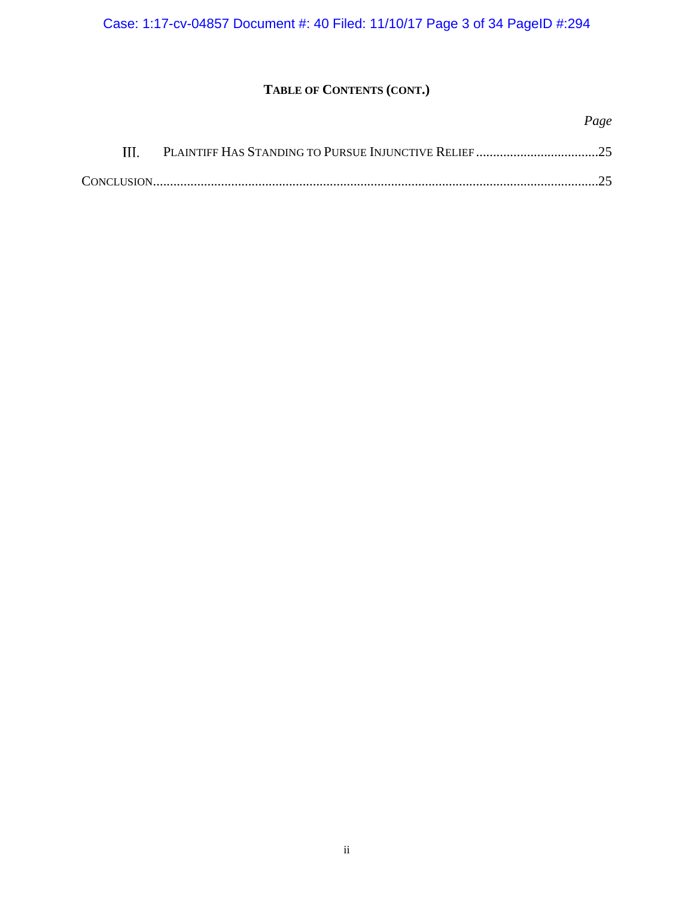Case: 1:17-cv-04857 Document #: 40 Filed: 11/10/17 Page 3 of 34 PageID #:294

# **TABLE OF CONTENTS (CONT.)**

|  | Page |
|--|------|
|  |      |
|  |      |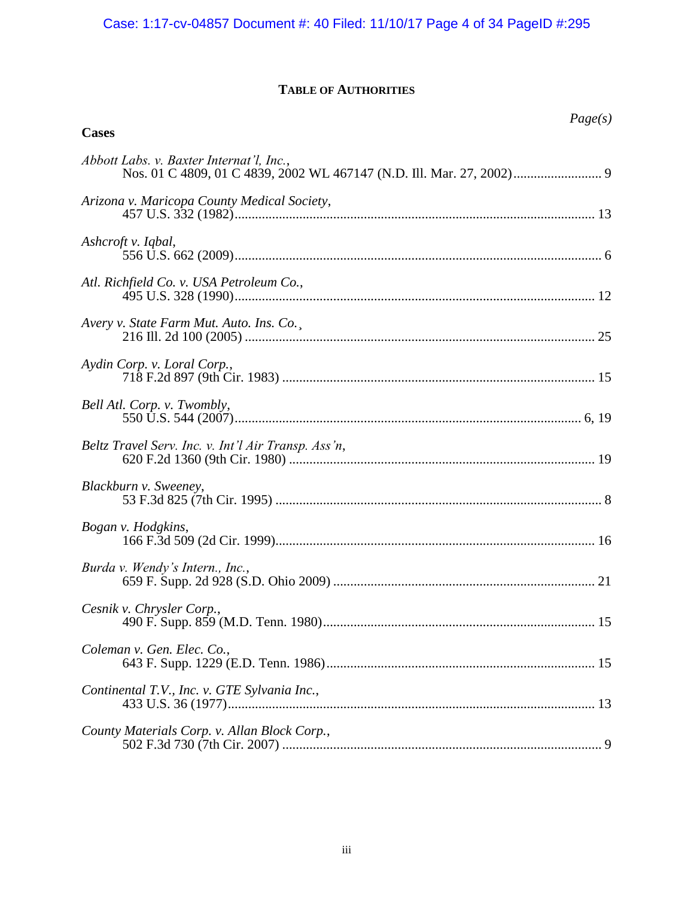# **TABLE OF AUTHORITIES**

<span id="page-3-0"></span>

| Page(s)<br><b>Cases</b>                             |
|-----------------------------------------------------|
| Abbott Labs. v. Baxter Internat'l, Inc.,            |
| Arizona v. Maricopa County Medical Society,         |
| Ashcroft v. Iqbal,                                  |
| Atl. Richfield Co. v. USA Petroleum Co.,            |
| Avery v. State Farm Mut. Auto. Ins. Co.,            |
| Aydin Corp. v. Loral Corp.,                         |
| Bell Atl. Corp. v. Twombly,                         |
| Beltz Travel Serv. Inc. v. Int'l Air Transp. Ass'n, |
| Blackburn v. Sweeney,                               |
| Bogan v. Hodgkins,                                  |
| Burda v. Wendy's Intern., Inc.,                     |
| Cesnik v. Chrysler Corp.,                           |
| Coleman v. Gen. Elec. Co.,                          |
| Continental T.V., Inc. v. GTE Sylvania Inc.,        |
| County Materials Corp. v. Allan Block Corp.,        |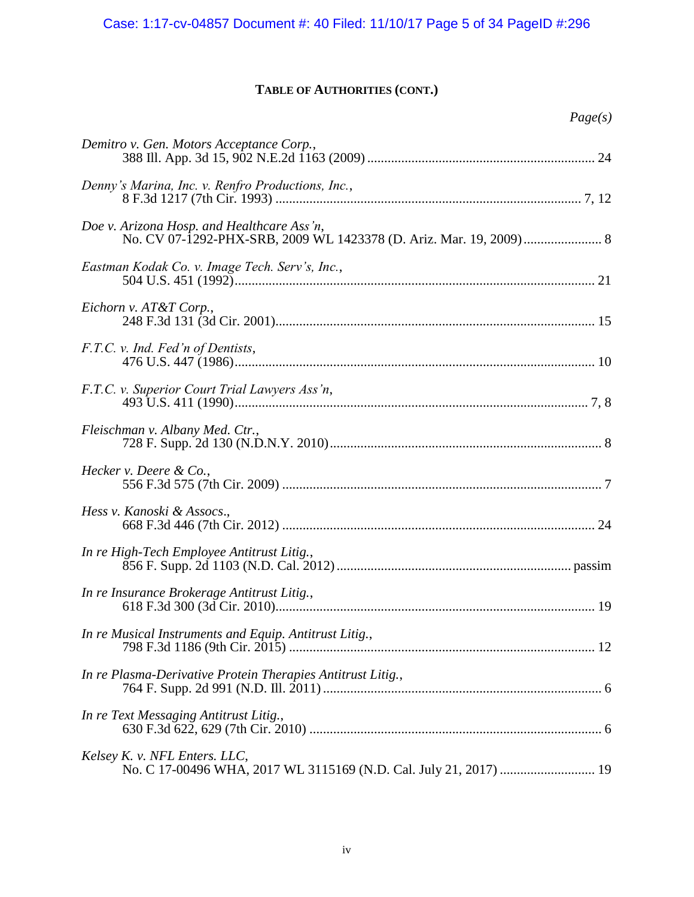# **TABLE OF AUTHORITIES (CONT.)**

| Page(s)                                                                                            |
|----------------------------------------------------------------------------------------------------|
| Demitro v. Gen. Motors Acceptance Corp.,                                                           |
| Denny's Marina, Inc. v. Renfro Productions, Inc.,                                                  |
| Doe v. Arizona Hosp. and Healthcare Ass'n,                                                         |
| Eastman Kodak Co. v. Image Tech. Serv's, Inc.,                                                     |
| Eichorn v. AT&T Corp.,                                                                             |
| F.T.C. v. Ind. Fed'n of Dentists,                                                                  |
| F.T.C. v. Superior Court Trial Lawyers Ass'n,                                                      |
| Fleischman v. Albany Med. Ctr.,                                                                    |
| Hecker v. Deere & Co.,                                                                             |
| Hess v. Kanoski & Assocs.,                                                                         |
| In re High-Tech Employee Antitrust Litig.,                                                         |
| In re Insurance Brokerage Antitrust Litig.,                                                        |
| In re Musical Instruments and Equip. Antitrust Litig.,                                             |
| In re Plasma-Derivative Protein Therapies Antitrust Litig.,                                        |
| In re Text Messaging Antitrust Litig.,                                                             |
| Kelsey K. v. NFL Enters. LLC,<br>No. C 17-00496 WHA, 2017 WL 3115169 (N.D. Cal. July 21, 2017)  19 |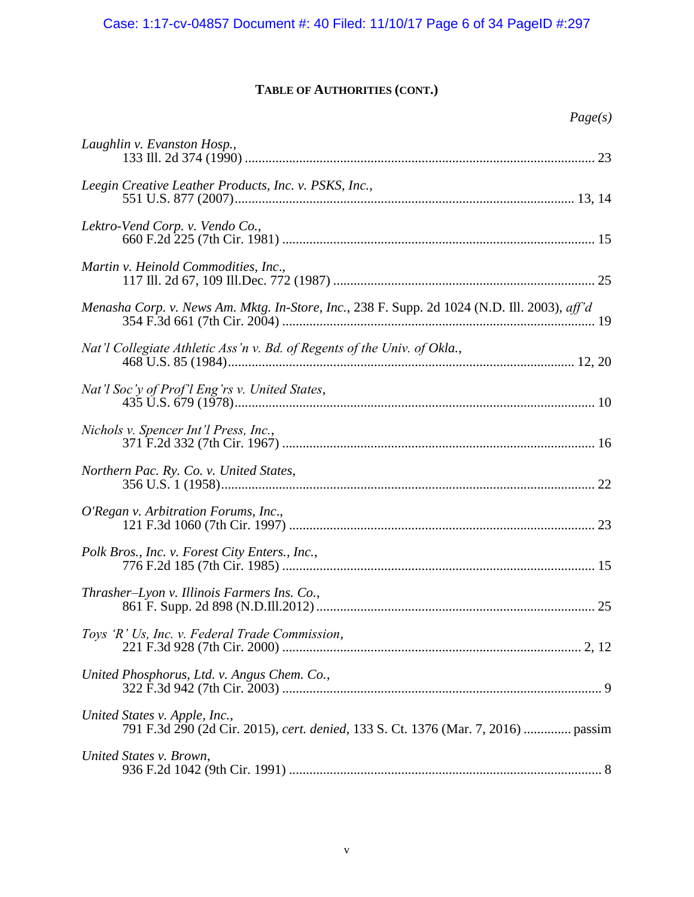# **TABLE OF AUTHORITIES (CONT.)**

| aget<br>x |
|-----------|
|-----------|

| Laughlin v. Evanston Hosp.,                                                                                        |
|--------------------------------------------------------------------------------------------------------------------|
| Leegin Creative Leather Products, Inc. v. PSKS, Inc.,                                                              |
| Lektro-Vend Corp. v. Vendo Co.,                                                                                    |
| Martin v. Heinold Commodities, Inc.,                                                                               |
| Menasha Corp. v. News Am. Mktg. In-Store, Inc., 238 F. Supp. 2d 1024 (N.D. Ill. 2003), aff'd                       |
| Nat'l Collegiate Athletic Ass'n v. Bd. of Regents of the Univ. of Okla.,                                           |
| Nat'l Soc'y of Prof'l Eng'rs v. United States,                                                                     |
| Nichols v. Spencer Int'l Press, Inc.,                                                                              |
| Northern Pac. Ry. Co. v. United States,                                                                            |
| O'Regan v. Arbitration Forums, Inc.,                                                                               |
| Polk Bros., Inc. v. Forest City Enters., Inc.,                                                                     |
| Thrasher–Lyon v. Illinois Farmers Ins. Co.,                                                                        |
| Toys 'R' Us, Inc. v. Federal Trade Commission,                                                                     |
| United Phosphorus, Ltd. v. Angus Chem. Co.,                                                                        |
| United States v. Apple, Inc.,<br>791 F.3d 290 (2d Cir. 2015), cert. denied, 133 S. Ct. 1376 (Mar. 7, 2016)  passim |
| United States v. Brown,                                                                                            |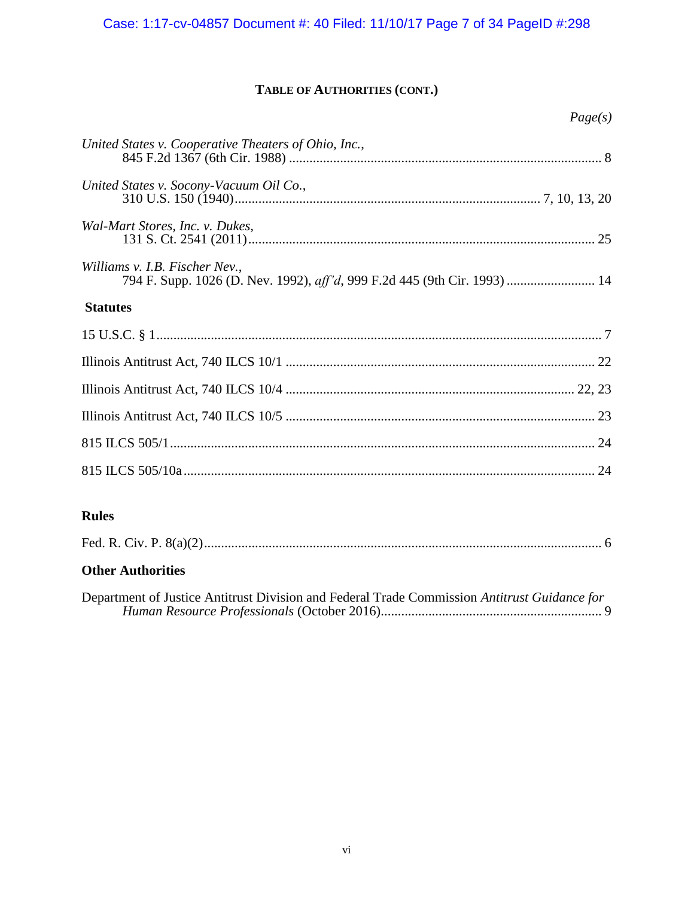# **TABLE OF AUTHORITIES (CONT.)**

|                                                                                                             | Page(s) |
|-------------------------------------------------------------------------------------------------------------|---------|
| United States v. Cooperative Theaters of Ohio, Inc.,                                                        |         |
| United States v. Socony-Vacuum Oil Co.,                                                                     |         |
| Wal-Mart Stores, Inc. v. Dukes,                                                                             |         |
| Williams v. I.B. Fischer Nev.,<br>794 F. Supp. 1026 (D. Nev. 1992), aff'd, 999 F.2d 445 (9th Cir. 1993)  14 |         |
| <b>Statutes</b>                                                                                             |         |
|                                                                                                             |         |
|                                                                                                             |         |
|                                                                                                             |         |
|                                                                                                             |         |
|                                                                                                             |         |
|                                                                                                             |         |
|                                                                                                             |         |

## **Rules**

|--|--|--|--|--|

# **Other Authorities**

Department of Justice Antitrust Division and Federal Trade Commission *Antitrust Guidance for Human Resource Professionals* (October 2016)................................................................. 9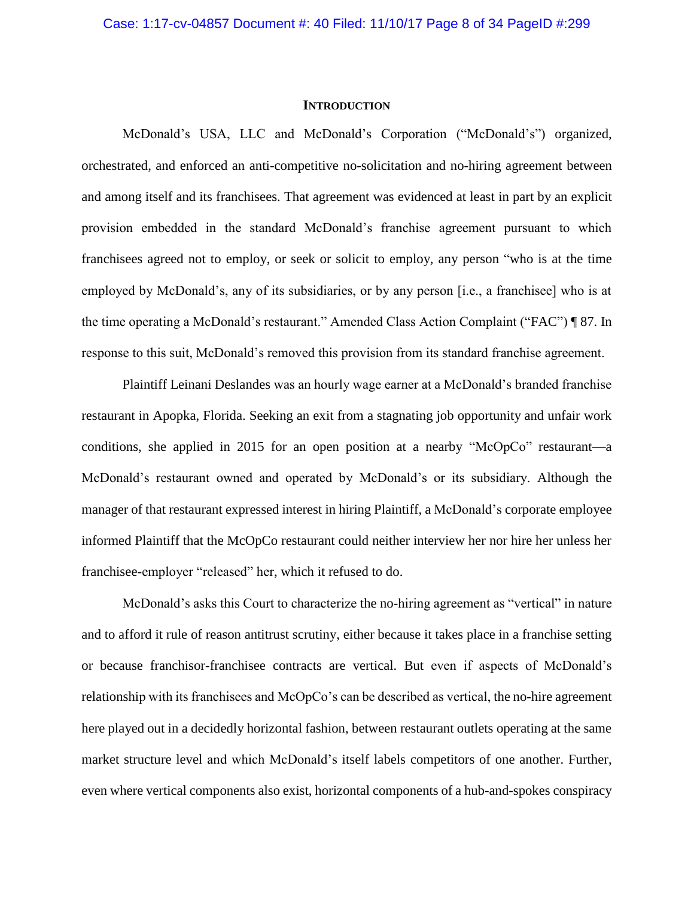## **INTRODUCTION**

<span id="page-7-0"></span>McDonald's USA, LLC and McDonald's Corporation ("McDonald's") organized, orchestrated, and enforced an anti-competitive no-solicitation and no-hiring agreement between and among itself and its franchisees. That agreement was evidenced at least in part by an explicit provision embedded in the standard McDonald's franchise agreement pursuant to which franchisees agreed not to employ, or seek or solicit to employ, any person "who is at the time employed by McDonald's, any of its subsidiaries, or by any person [i.e., a franchisee] who is at the time operating a McDonald's restaurant." Amended Class Action Complaint ("FAC") ¶ 87. In response to this suit, McDonald's removed this provision from its standard franchise agreement.

Plaintiff Leinani Deslandes was an hourly wage earner at a McDonald's branded franchise restaurant in Apopka, Florida. Seeking an exit from a stagnating job opportunity and unfair work conditions, she applied in 2015 for an open position at a nearby "McOpCo" restaurant—a McDonald's restaurant owned and operated by McDonald's or its subsidiary. Although the manager of that restaurant expressed interest in hiring Plaintiff, a McDonald's corporate employee informed Plaintiff that the McOpCo restaurant could neither interview her nor hire her unless her franchisee-employer "released" her, which it refused to do.

McDonald's asks this Court to characterize the no-hiring agreement as "vertical" in nature and to afford it rule of reason antitrust scrutiny, either because it takes place in a franchise setting or because franchisor-franchisee contracts are vertical. But even if aspects of McDonald's relationship with its franchisees and McOpCo's can be described as vertical, the no-hire agreement here played out in a decidedly horizontal fashion, between restaurant outlets operating at the same market structure level and which McDonald's itself labels competitors of one another. Further, even where vertical components also exist, horizontal components of a hub-and-spokes conspiracy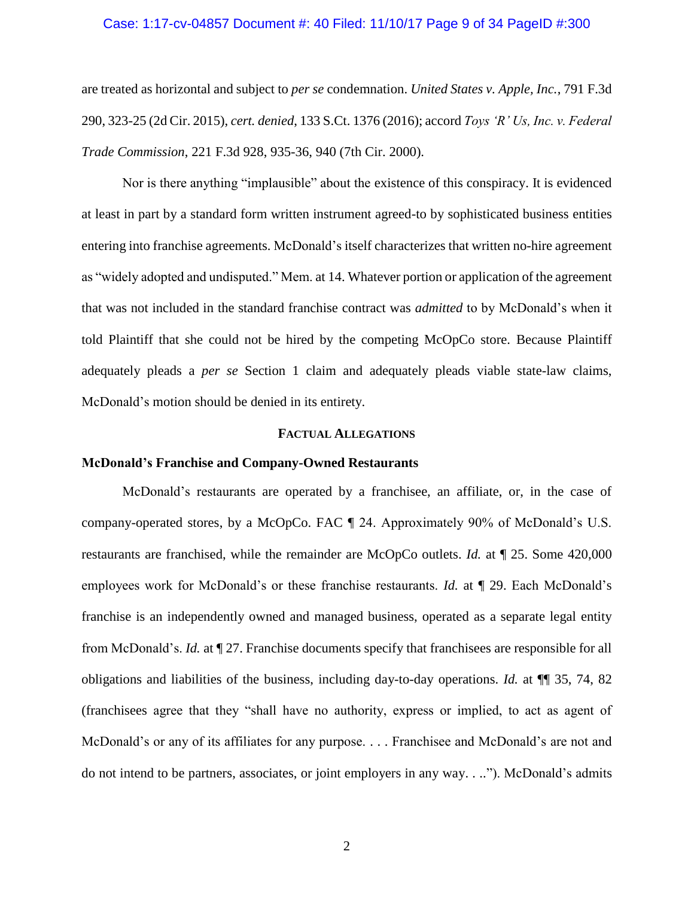## Case: 1:17-cv-04857 Document #: 40 Filed: 11/10/17 Page 9 of 34 PageID #:300

are treated as horizontal and subject to *per se* condemnation. *United States v. Apple, Inc.*, 791 F.3d 290, 323-25 (2d Cir. 2015), *cert. denied*, 133 S.Ct. 1376 (2016); accord *Toys 'R' Us, Inc. v. Federal Trade Commission*, 221 F.3d 928, 935-36, 940 (7th Cir. 2000).

Nor is there anything "implausible" about the existence of this conspiracy. It is evidenced at least in part by a standard form written instrument agreed-to by sophisticated business entities entering into franchise agreements. McDonald's itself characterizes that written no-hire agreement as "widely adopted and undisputed." Mem. at 14. Whatever portion or application of the agreement that was not included in the standard franchise contract was *admitted* to by McDonald's when it told Plaintiff that she could not be hired by the competing McOpCo store. Because Plaintiff adequately pleads a *per se* Section 1 claim and adequately pleads viable state-law claims, McDonald's motion should be denied in its entirety.

## **FACTUAL ALLEGATIONS**

## <span id="page-8-1"></span><span id="page-8-0"></span>**McDonald's Franchise and Company-Owned Restaurants**

McDonald's restaurants are operated by a franchisee, an affiliate, or, in the case of company-operated stores, by a McOpCo. FAC ¶ 24. Approximately 90% of McDonald's U.S. restaurants are franchised, while the remainder are McOpCo outlets. *Id.* at ¶ 25. Some 420,000 employees work for McDonald's or these franchise restaurants. *Id.* at ¶ 29. Each McDonald's franchise is an independently owned and managed business, operated as a separate legal entity from McDonald's. *Id.* at ¶ 27. Franchise documents specify that franchisees are responsible for all obligations and liabilities of the business, including day-to-day operations. *Id.* at ¶¶ 35, 74, 82 (franchisees agree that they "shall have no authority, express or implied, to act as agent of McDonald's or any of its affiliates for any purpose. . . . Franchisee and McDonald's are not and do not intend to be partners, associates, or joint employers in any way. . .."). McDonald's admits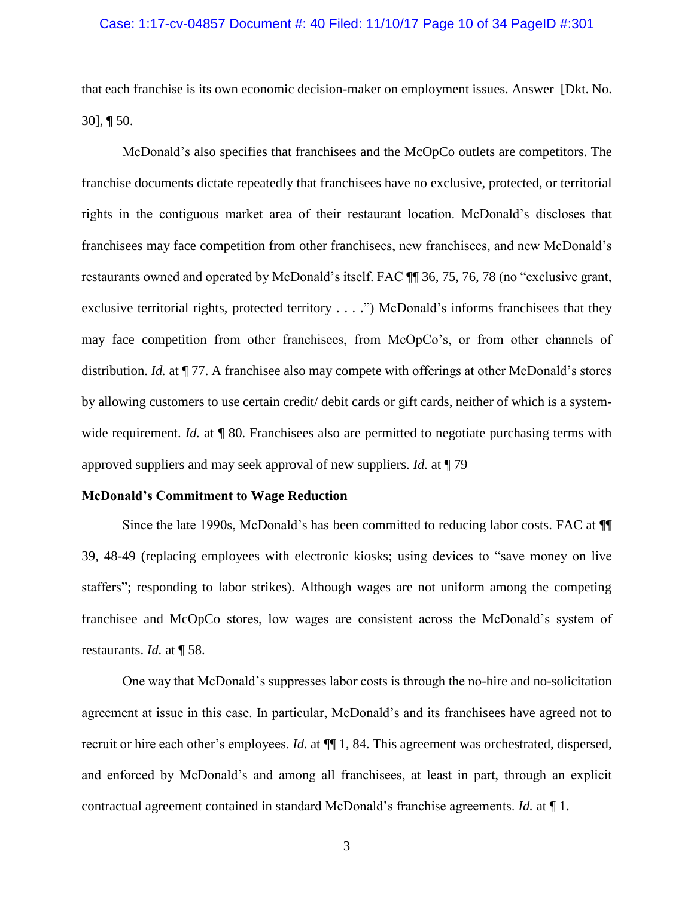## Case: 1:17-cv-04857 Document #: 40 Filed: 11/10/17 Page 10 of 34 PageID #:301

that each franchise is its own economic decision-maker on employment issues. Answer [Dkt. No. 30], ¶ 50.

McDonald's also specifies that franchisees and the McOpCo outlets are competitors. The franchise documents dictate repeatedly that franchisees have no exclusive, protected, or territorial rights in the contiguous market area of their restaurant location. McDonald's discloses that franchisees may face competition from other franchisees, new franchisees, and new McDonald's restaurants owned and operated by McDonald's itself. FAC ¶¶ 36, 75, 76, 78 (no "exclusive grant, exclusive territorial rights, protected territory . . . .") McDonald's informs franchisees that they may face competition from other franchisees, from McOpCo's, or from other channels of distribution. *Id.* at  $\P$  77. A franchisee also may compete with offerings at other McDonald's stores by allowing customers to use certain credit/ debit cards or gift cards, neither of which is a systemwide requirement. *Id.* at  $\P$  80. Franchisees also are permitted to negotiate purchasing terms with approved suppliers and may seek approval of new suppliers. *Id.* at ¶ 79

## <span id="page-9-0"></span>**McDonald's Commitment to Wage Reduction**

Since the late 1990s, McDonald's has been committed to reducing labor costs. FAC at ¶¶ 39, 48-49 (replacing employees with electronic kiosks; using devices to "save money on live staffers"; responding to labor strikes). Although wages are not uniform among the competing franchisee and McOpCo stores, low wages are consistent across the McDonald's system of restaurants. *Id.* at ¶ 58.

One way that McDonald's suppresses labor costs is through the no-hire and no-solicitation agreement at issue in this case. In particular, McDonald's and its franchisees have agreed not to recruit or hire each other's employees. *Id.* at ¶¶ 1, 84. This agreement was orchestrated, dispersed, and enforced by McDonald's and among all franchisees, at least in part, through an explicit contractual agreement contained in standard McDonald's franchise agreements. *Id.* at ¶ 1.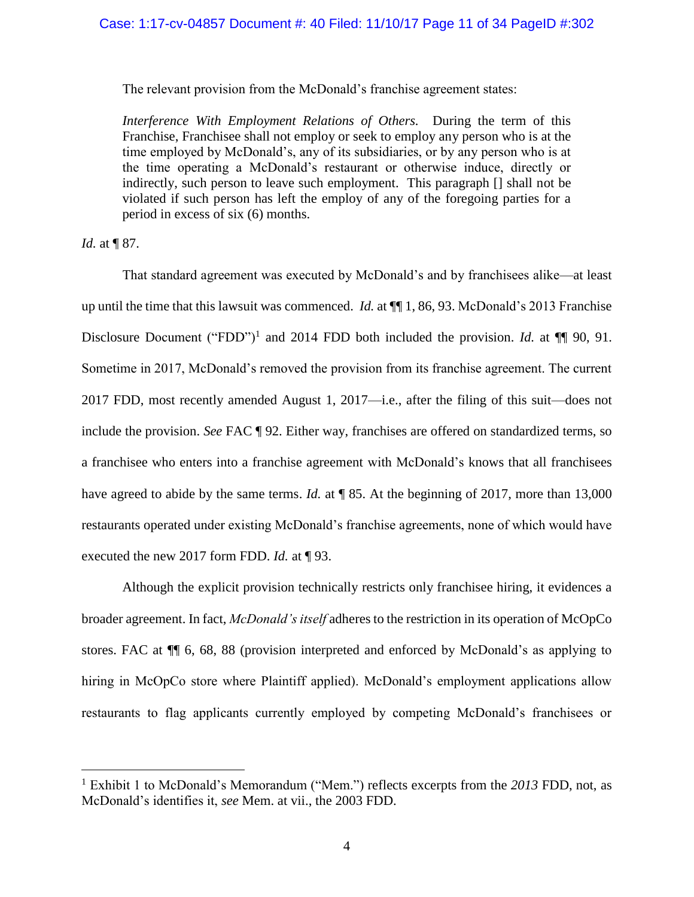## Case: 1:17-cv-04857 Document #: 40 Filed: 11/10/17 Page 11 of 34 PageID #:302

The relevant provision from the McDonald's franchise agreement states:

*Interference With Employment Relations of Others.* During the term of this Franchise, Franchisee shall not employ or seek to employ any person who is at the time employed by McDonald's, any of its subsidiaries, or by any person who is at the time operating a McDonald's restaurant or otherwise induce, directly or indirectly, such person to leave such employment. This paragraph [] shall not be violated if such person has left the employ of any of the foregoing parties for a period in excess of six (6) months.

*Id.* at **[**87.

l

That standard agreement was executed by McDonald's and by franchisees alike—at least up until the time that this lawsuit was commenced. *Id.* at ¶¶ 1, 86, 93. McDonald's 2013 Franchise Disclosure Document ("FDD")<sup>1</sup> and 2014 FDD both included the provision. *Id.* at  $\P$  90, 91. Sometime in 2017, McDonald's removed the provision from its franchise agreement. The current 2017 FDD, most recently amended August 1, 2017—i.e., after the filing of this suit—does not include the provision. *See* FAC ¶ 92. Either way, franchises are offered on standardized terms, so a franchisee who enters into a franchise agreement with McDonald's knows that all franchisees have agreed to abide by the same terms. *Id.* at ¶ 85. At the beginning of 2017, more than 13,000 restaurants operated under existing McDonald's franchise agreements, none of which would have executed the new 2017 form FDD. *Id.* at ¶ 93.

Although the explicit provision technically restricts only franchisee hiring, it evidences a broader agreement. In fact, *McDonald's itself* adheres to the restriction in its operation of McOpCo stores. FAC at ¶¶ 6, 68, 88 (provision interpreted and enforced by McDonald's as applying to hiring in McOpCo store where Plaintiff applied). McDonald's employment applications allow restaurants to flag applicants currently employed by competing McDonald's franchisees or

<sup>1</sup> Exhibit 1 to McDonald's Memorandum ("Mem.") reflects excerpts from the *2013* FDD, not, as McDonald's identifies it, *see* Mem. at vii., the 2003 FDD.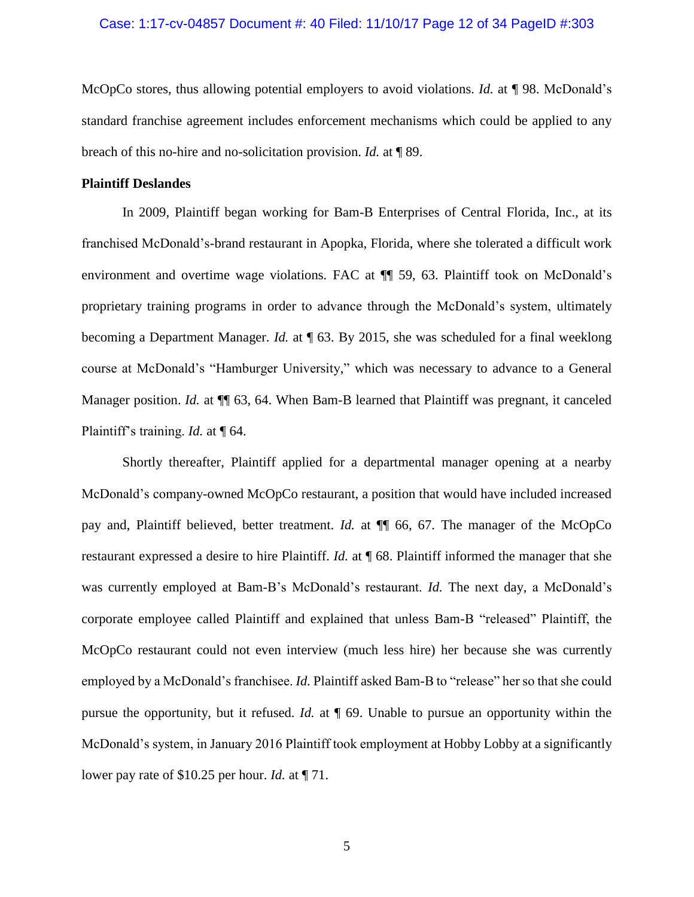## Case: 1:17-cv-04857 Document #: 40 Filed: 11/10/17 Page 12 of 34 PageID #:303

McOpCo stores, thus allowing potential employers to avoid violations. *Id.* at ¶ 98. McDonald's standard franchise agreement includes enforcement mechanisms which could be applied to any breach of this no-hire and no-solicitation provision. *Id.* at ¶ 89.

## <span id="page-11-0"></span>**Plaintiff Deslandes**

In 2009, Plaintiff began working for Bam-B Enterprises of Central Florida, Inc., at its franchised McDonald's-brand restaurant in Apopka, Florida, where she tolerated a difficult work environment and overtime wage violations. FAC at  $\P$  59, 63. Plaintiff took on McDonald's proprietary training programs in order to advance through the McDonald's system, ultimately becoming a Department Manager. *Id.* at ¶ 63. By 2015, she was scheduled for a final weeklong course at McDonald's "Hamburger University," which was necessary to advance to a General Manager position. *Id.* at  $\P$  63, 64. When Bam-B learned that Plaintiff was pregnant, it canceled Plaintiff's training. *Id.* at ¶ 64.

Shortly thereafter, Plaintiff applied for a departmental manager opening at a nearby McDonald's company-owned McOpCo restaurant, a position that would have included increased pay and, Plaintiff believed, better treatment. *Id.* at ¶¶ 66, 67. The manager of the McOpCo restaurant expressed a desire to hire Plaintiff. *Id.* at ¶ 68. Plaintiff informed the manager that she was currently employed at Bam-B's McDonald's restaurant. *Id.* The next day, a McDonald's corporate employee called Plaintiff and explained that unless Bam-B "released" Plaintiff, the McOpCo restaurant could not even interview (much less hire) her because she was currently employed by a McDonald's franchisee. *Id.* Plaintiff asked Bam-B to "release" her so that she could pursue the opportunity, but it refused. *Id.* at ¶ 69. Unable to pursue an opportunity within the McDonald's system, in January 2016 Plaintiff took employment at Hobby Lobby at a significantly lower pay rate of \$10.25 per hour. *Id.* at ¶ 71.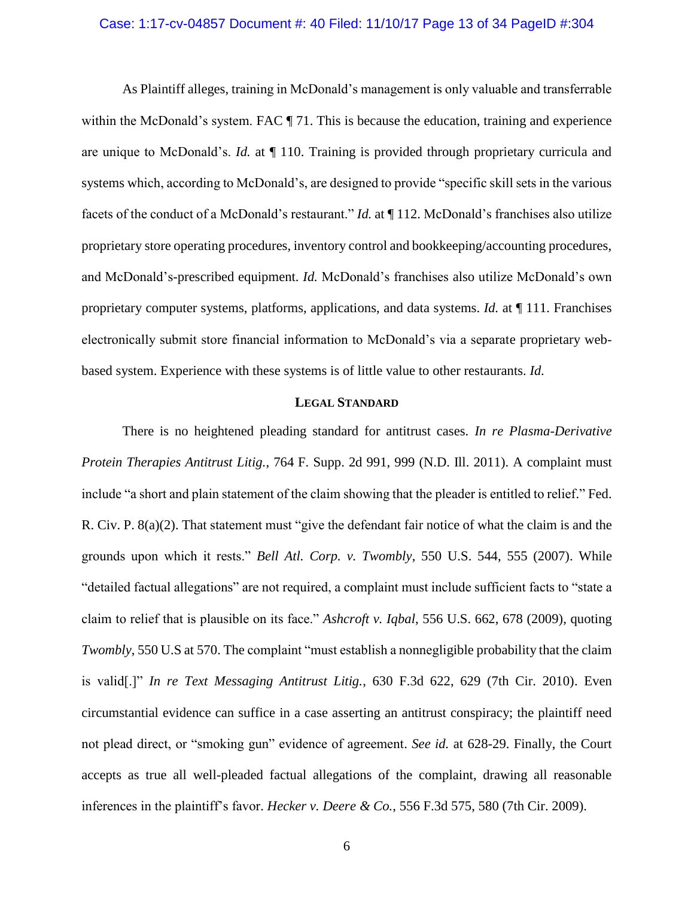## Case: 1:17-cv-04857 Document #: 40 Filed: 11/10/17 Page 13 of 34 PageID #:304

As Plaintiff alleges, training in McDonald's management is only valuable and transferrable within the McDonald's system. FAC  $\P$  71. This is because the education, training and experience are unique to McDonald's. *Id.* at ¶ 110. Training is provided through proprietary curricula and systems which, according to McDonald's, are designed to provide "specific skill sets in the various facets of the conduct of a McDonald's restaurant." *Id.* at ¶ 112. McDonald's franchises also utilize proprietary store operating procedures, inventory control and bookkeeping/accounting procedures, and McDonald's-prescribed equipment. *Id.* McDonald's franchises also utilize McDonald's own proprietary computer systems, platforms, applications, and data systems. *Id.* at ¶ 111. Franchises electronically submit store financial information to McDonald's via a separate proprietary webbased system. Experience with these systems is of little value to other restaurants. *Id.*

## **LEGAL STANDARD**

<span id="page-12-0"></span>There is no heightened pleading standard for antitrust cases. *In re Plasma-Derivative Protein Therapies Antitrust Litig.*, 764 F. Supp. 2d 991, 999 (N.D. Ill. 2011). A complaint must include "a short and plain statement of the claim showing that the pleader is entitled to relief." Fed. R. Civ. P. 8(a)(2). That statement must "give the defendant fair notice of what the claim is and the grounds upon which it rests." *Bell Atl. Corp. v. Twombly*, 550 U.S. 544, 555 (2007). While "detailed factual allegations" are not required, a complaint must include sufficient facts to "state a claim to relief that is plausible on its face." *Ashcroft v. Iqbal*, 556 U.S. 662, 678 (2009), quoting *Twombly*, 550 U.S at 570. The complaint "must establish a nonnegligible probability that the claim is valid[.]" *In re Text Messaging Antitrust Litig.*, 630 F.3d 622, 629 (7th Cir. 2010). Even circumstantial evidence can suffice in a case asserting an antitrust conspiracy; the plaintiff need not plead direct, or "smoking gun" evidence of agreement. *See id.* at 628-29. Finally, the Court accepts as true all well-pleaded factual allegations of the complaint, drawing all reasonable inferences in the plaintiff's favor. *Hecker v. Deere & Co.*, 556 F.3d 575, 580 (7th Cir. 2009).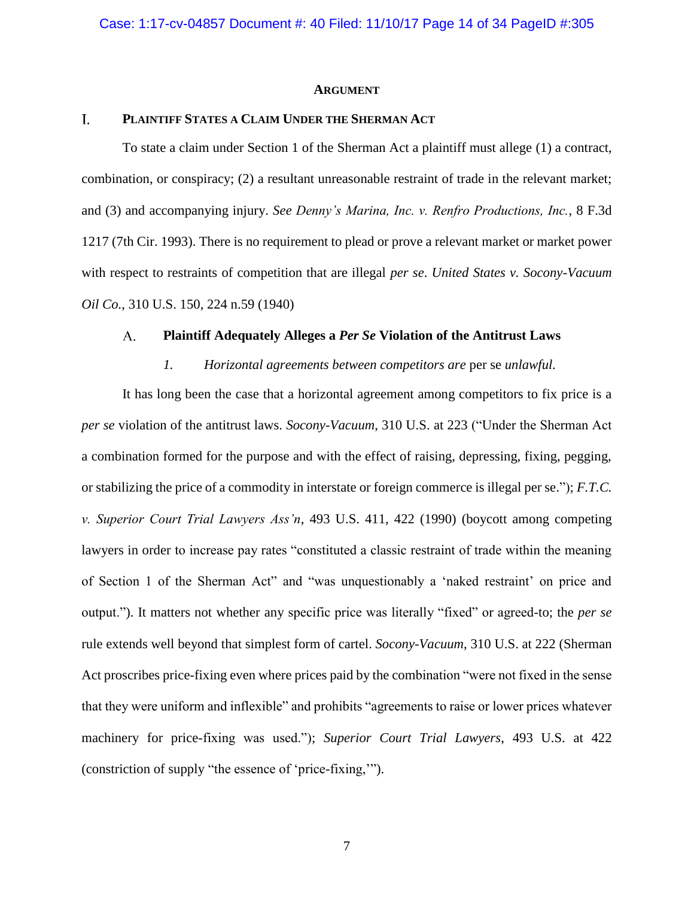### **ARGUMENT**

#### <span id="page-13-1"></span><span id="page-13-0"></span> $\overline{L}$ **PLAINTIFF STATES A CLAIM UNDER THE SHERMAN ACT**

To state a claim under Section 1 of the Sherman Act a plaintiff must allege (1) a contract, combination, or conspiracy; (2) a resultant unreasonable restraint of trade in the relevant market; and (3) and accompanying injury. *See Denny's Marina, Inc. v. Renfro Productions, Inc.*, 8 F.3d 1217 (7th Cir. 1993). There is no requirement to plead or prove a relevant market or market power with respect to restraints of competition that are illegal *per se*. *United States v. Socony-Vacuum Oil Co.*, 310 U.S. 150, 224 n.59 (1940)

#### <span id="page-13-2"></span> $A_{1}$ **Plaintiff Adequately Alleges a** *Per Se* **Violation of the Antitrust Laws**

## *1. Horizontal agreements between competitors are* per se *unlawful.*

<span id="page-13-3"></span>It has long been the case that a horizontal agreement among competitors to fix price is a *per se* violation of the antitrust laws. *Socony-Vacuum*, 310 U.S. at 223 ("Under the Sherman Act a combination formed for the purpose and with the effect of raising, depressing, fixing, pegging, or stabilizing the price of a commodity in interstate or foreign commerce is illegal per se."); *F.T.C. v. Superior Court Trial Lawyers Ass'n*, 493 U.S. 411, 422 (1990) (boycott among competing lawyers in order to increase pay rates "constituted a classic restraint of trade within the meaning of Section 1 of the Sherman Act" and "was unquestionably a 'naked restraint' on price and output."). It matters not whether any specific price was literally "fixed" or agreed-to; the *per se* rule extends well beyond that simplest form of cartel. *Socony-Vacuum*, 310 U.S. at 222 (Sherman Act proscribes price-fixing even where prices paid by the combination "were not fixed in the sense that they were uniform and inflexible" and prohibits "agreements to raise or lower prices whatever machinery for price-fixing was used."); *Superior Court Trial Lawyers*, 493 U.S. at 422 (constriction of supply "the essence of 'price-fixing,'").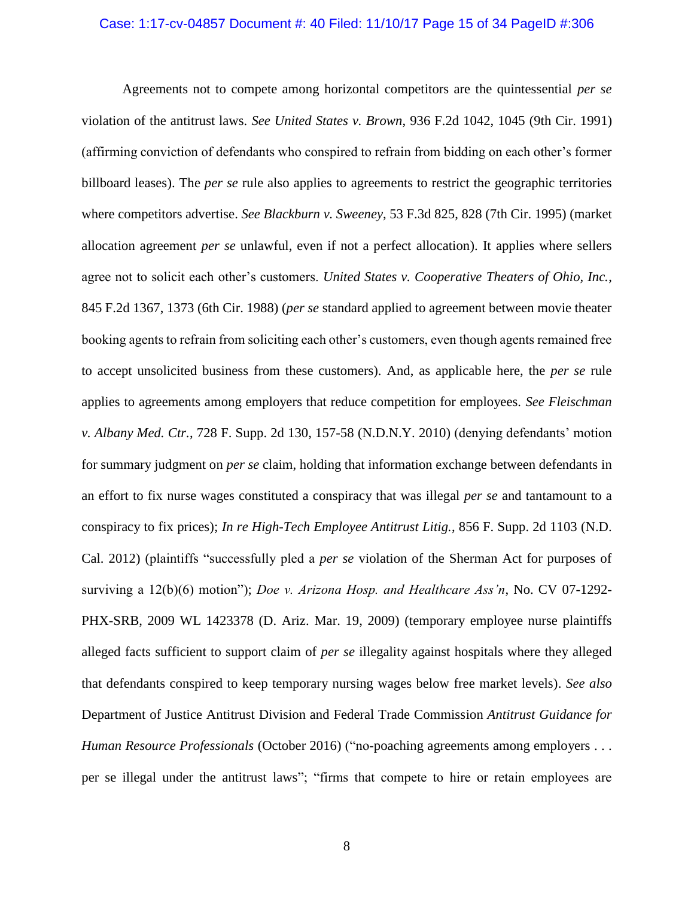## Case: 1:17-cv-04857 Document #: 40 Filed: 11/10/17 Page 15 of 34 PageID #:306

Agreements not to compete among horizontal competitors are the quintessential *per se* violation of the antitrust laws. *See United States v. Brown*, 936 F.2d 1042, 1045 (9th Cir. 1991) (affirming conviction of defendants who conspired to refrain from bidding on each other's former billboard leases). The *per se* rule also applies to agreements to restrict the geographic territories where competitors advertise. *See Blackburn v. Sweeney*, 53 F.3d 825, 828 (7th Cir. 1995) (market allocation agreement *per se* unlawful, even if not a perfect allocation). It applies where sellers agree not to solicit each other's customers. *United States v. Cooperative Theaters of Ohio, Inc.*, 845 F.2d 1367, 1373 (6th Cir. 1988) (*per se* standard applied to agreement between movie theater booking agents to refrain from soliciting each other's customers, even though agents remained free to accept unsolicited business from these customers). And, as applicable here, the *per se* rule applies to agreements among employers that reduce competition for employees. *See Fleischman v. Albany Med. Ctr.*, 728 F. Supp. 2d 130, 157-58 (N.D.N.Y. 2010) (denying defendants' motion for summary judgment on *per se* claim, holding that information exchange between defendants in an effort to fix nurse wages constituted a conspiracy that was illegal *per se* and tantamount to a conspiracy to fix prices); *In re High-Tech Employee Antitrust Litig.*, 856 F. Supp. 2d 1103 (N.D. Cal. 2012) (plaintiffs "successfully pled a *per se* violation of the Sherman Act for purposes of surviving a 12(b)(6) motion"); *Doe v. Arizona Hosp. and Healthcare Ass'n*, No. CV 07-1292- PHX-SRB, 2009 WL 1423378 (D. Ariz. Mar. 19, 2009) (temporary employee nurse plaintiffs alleged facts sufficient to support claim of *per se* illegality against hospitals where they alleged that defendants conspired to keep temporary nursing wages below free market levels). *See also* Department of Justice Antitrust Division and Federal Trade Commission *Antitrust Guidance for Human Resource Professionals* (October 2016) ("no-poaching agreements among employers . . . per se illegal under the antitrust laws"; "firms that compete to hire or retain employees are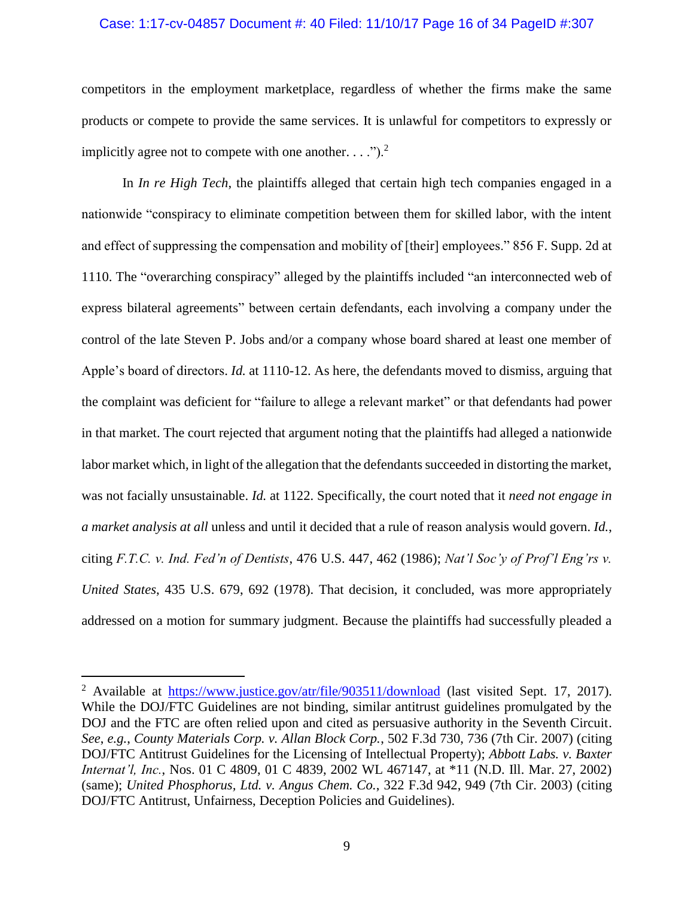### Case: 1:17-cv-04857 Document #: 40 Filed: 11/10/17 Page 16 of 34 PageID #:307

competitors in the employment marketplace, regardless of whether the firms make the same products or compete to provide the same services. It is unlawful for competitors to expressly or implicitly agree not to compete with one another.  $\ldots$ .").<sup>2</sup>

In *In re High Tech*, the plaintiffs alleged that certain high tech companies engaged in a nationwide "conspiracy to eliminate competition between them for skilled labor, with the intent and effect of suppressing the compensation and mobility of [their] employees." 856 F. Supp. 2d at 1110. The "overarching conspiracy" alleged by the plaintiffs included "an interconnected web of express bilateral agreements" between certain defendants, each involving a company under the control of the late Steven P. Jobs and/or a company whose board shared at least one member of Apple's board of directors. *Id.* at 1110-12. As here, the defendants moved to dismiss, arguing that the complaint was deficient for "failure to allege a relevant market" or that defendants had power in that market. The court rejected that argument noting that the plaintiffs had alleged a nationwide labor market which, in light of the allegation that the defendants succeeded in distorting the market, was not facially unsustainable. *Id.* at 1122. Specifically, the court noted that it *need not engage in a market analysis at all* unless and until it decided that a rule of reason analysis would govern. *Id.*, citing *F.T.C. v. Ind. Fed'n of Dentists*, 476 U.S. 447, 462 (1986); *Nat'l Soc'y of Prof'l Eng'rs v. United States*, 435 U.S. 679, 692 (1978). That decision, it concluded, was more appropriately addressed on a motion for summary judgment. Because the plaintiffs had successfully pleaded a

l

<sup>&</sup>lt;sup>2</sup> Available at <https://www.justice.gov/atr/file/903511/download> (last visited Sept. 17, 2017). While the DOJ/FTC Guidelines are not binding, similar antitrust guidelines promulgated by the DOJ and the FTC are often relied upon and cited as persuasive authority in the Seventh Circuit. *See*, *e.g.*, *County Materials Corp. v. Allan Block Corp.*, 502 F.3d 730, 736 (7th Cir. 2007) (citing DOJ/FTC Antitrust Guidelines for the Licensing of Intellectual Property); *Abbott Labs. v. Baxter Internat'l, Inc.*, Nos. 01 C 4809, 01 C 4839, 2002 WL 467147, at \*11 (N.D. Ill. Mar. 27, 2002) (same); *United Phosphorus, Ltd. v. Angus Chem. Co.*, 322 F.3d 942, 949 (7th Cir. 2003) (citing DOJ/FTC Antitrust, Unfairness, Deception Policies and Guidelines).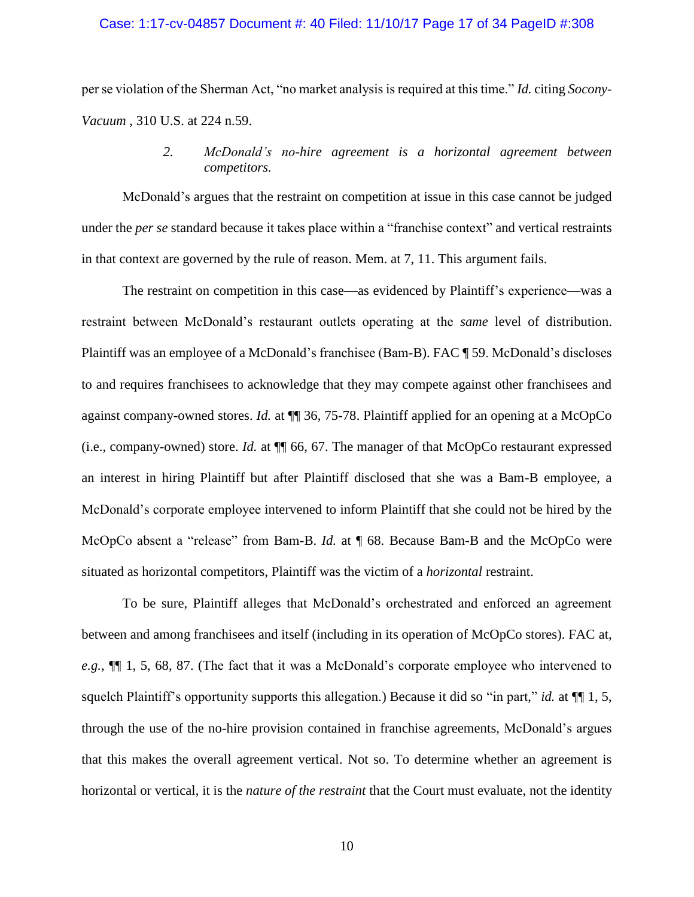## Case: 1:17-cv-04857 Document #: 40 Filed: 11/10/17 Page 17 of 34 PageID #:308

per se violation of the Sherman Act, "no market analysis is required at this time." *Id.* citing *Socony-Vacuum* , 310 U.S. at 224 n.59.

## *2. McDonald's no-hire agreement is a horizontal agreement between competitors.*

<span id="page-16-0"></span>McDonald's argues that the restraint on competition at issue in this case cannot be judged under the *per se* standard because it takes place within a "franchise context" and vertical restraints in that context are governed by the rule of reason. Mem. at 7, 11. This argument fails.

The restraint on competition in this case—as evidenced by Plaintiff's experience—was a restraint between McDonald's restaurant outlets operating at the *same* level of distribution. Plaintiff was an employee of a McDonald's franchisee (Bam-B). FAC ¶ 59. McDonald's discloses to and requires franchisees to acknowledge that they may compete against other franchisees and against company-owned stores. *Id.* at ¶¶ 36, 75-78. Plaintiff applied for an opening at a McOpCo (i.e., company-owned) store. *Id.* at ¶¶ 66, 67. The manager of that McOpCo restaurant expressed an interest in hiring Plaintiff but after Plaintiff disclosed that she was a Bam-B employee, a McDonald's corporate employee intervened to inform Plaintiff that she could not be hired by the McOpCo absent a "release" from Bam-B. *Id.* at ¶ 68. Because Bam-B and the McOpCo were situated as horizontal competitors, Plaintiff was the victim of a *horizontal* restraint.

To be sure, Plaintiff alleges that McDonald's orchestrated and enforced an agreement between and among franchisees and itself (including in its operation of McOpCo stores). FAC at, *e.g.*, ¶¶ 1, 5, 68, 87. (The fact that it was a McDonald's corporate employee who intervened to squelch Plaintiff's opportunity supports this allegation.) Because it did so "in part," *id.* at ¶¶ 1, 5, through the use of the no-hire provision contained in franchise agreements, McDonald's argues that this makes the overall agreement vertical. Not so. To determine whether an agreement is horizontal or vertical, it is the *nature of the restraint* that the Court must evaluate, not the identity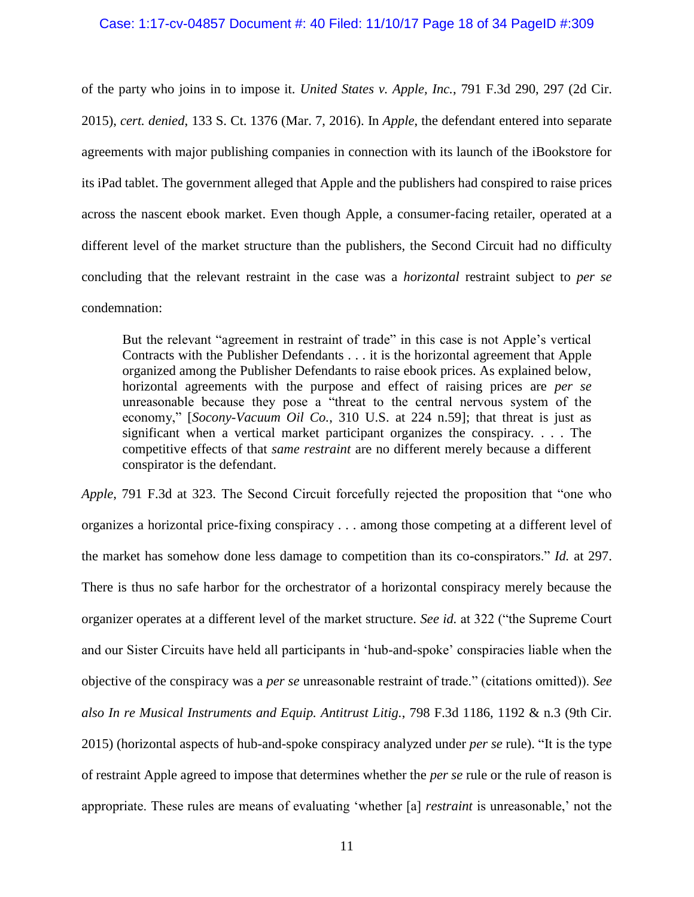## Case: 1:17-cv-04857 Document #: 40 Filed: 11/10/17 Page 18 of 34 PageID #:309

of the party who joins in to impose it. *United States v. Apple, Inc.*, 791 F.3d 290, 297 (2d Cir. 2015), *cert. denied*, 133 S. Ct. 1376 (Mar. 7, 2016). In *Apple*, the defendant entered into separate agreements with major publishing companies in connection with its launch of the iBookstore for its iPad tablet. The government alleged that Apple and the publishers had conspired to raise prices across the nascent ebook market. Even though Apple, a consumer-facing retailer, operated at a different level of the market structure than the publishers, the Second Circuit had no difficulty concluding that the relevant restraint in the case was a *horizontal* restraint subject to *per se* condemnation:

But the relevant "agreement in restraint of trade" in this case is not Apple's vertical Contracts with the Publisher Defendants . . . it is the horizontal agreement that Apple organized among the Publisher Defendants to raise ebook prices. As explained below, horizontal agreements with the purpose and effect of raising prices are *per se* unreasonable because they pose a "threat to the central nervous system of the economy," [*Socony-Vacuum Oil Co.*, 310 U.S. at 224 n.59]; that threat is just as significant when a vertical market participant organizes the conspiracy. . . . The competitive effects of that *same restraint* are no different merely because a different conspirator is the defendant.

*Apple*, 791 F.3d at 323. The Second Circuit forcefully rejected the proposition that "one who organizes a horizontal price-fixing conspiracy . . . among those competing at a different level of the market has somehow done less damage to competition than its co-conspirators." *Id.* at 297. There is thus no safe harbor for the orchestrator of a horizontal conspiracy merely because the organizer operates at a different level of the market structure. *See id.* at 322 ("the Supreme Court and our Sister Circuits have held all participants in 'hub-and-spoke' conspiracies liable when the objective of the conspiracy was a *per se* unreasonable restraint of trade." (citations omitted)). *See also In re Musical Instruments and Equip. Antitrust Litig.*, 798 F.3d 1186, 1192 & n.3 (9th Cir. 2015) (horizontal aspects of hub-and-spoke conspiracy analyzed under *per se* rule). "It is the type of restraint Apple agreed to impose that determines whether the *per se* rule or the rule of reason is appropriate. These rules are means of evaluating 'whether [a] *restraint* is unreasonable,' not the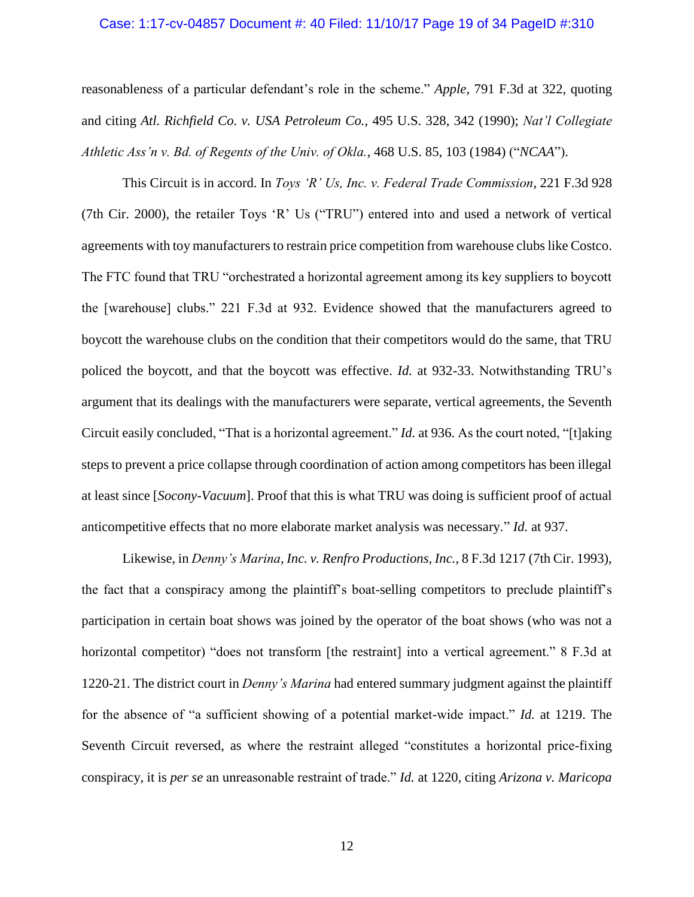## Case: 1:17-cv-04857 Document #: 40 Filed: 11/10/17 Page 19 of 34 PageID #:310

reasonableness of a particular defendant's role in the scheme." *Apple*, 791 F.3d at 322, quoting and citing *Atl. Richfield Co. v. USA Petroleum Co.*, 495 U.S. 328, 342 (1990); *Nat'l Collegiate Athletic Ass'n v. Bd. of Regents of the Univ. of Okla.*, 468 U.S. 85, 103 (1984) ("*NCAA*").

This Circuit is in accord. In *Toys 'R' Us, Inc. v. Federal Trade Commission*, 221 F.3d 928 (7th Cir. 2000), the retailer Toys 'R' Us ("TRU") entered into and used a network of vertical agreements with toy manufacturers to restrain price competition from warehouse clubs like Costco. The FTC found that TRU "orchestrated a horizontal agreement among its key suppliers to boycott the [warehouse] clubs." 221 F.3d at 932. Evidence showed that the manufacturers agreed to boycott the warehouse clubs on the condition that their competitors would do the same, that TRU policed the boycott, and that the boycott was effective. *Id.* at 932-33. Notwithstanding TRU's argument that its dealings with the manufacturers were separate, vertical agreements, the Seventh Circuit easily concluded, "That is a horizontal agreement." *Id.* at 936. As the court noted, "[t]aking steps to prevent a price collapse through coordination of action among competitors has been illegal at least since [*Socony-Vacuum*]. Proof that this is what TRU was doing is sufficient proof of actual anticompetitive effects that no more elaborate market analysis was necessary." *Id.* at 937.

Likewise, in *Denny's Marina, Inc. v. Renfro Productions, Inc.*, 8 F.3d 1217 (7th Cir. 1993), the fact that a conspiracy among the plaintiff's boat-selling competitors to preclude plaintiff's participation in certain boat shows was joined by the operator of the boat shows (who was not a horizontal competitor) "does not transform [the restraint] into a vertical agreement." 8 F.3d at 1220-21. The district court in *Denny's Marina* had entered summary judgment against the plaintiff for the absence of "a sufficient showing of a potential market-wide impact." *Id.* at 1219. The Seventh Circuit reversed, as where the restraint alleged "constitutes a horizontal price-fixing conspiracy, it is *per se* an unreasonable restraint of trade." *Id.* at 1220, citing *Arizona v. Maricopa*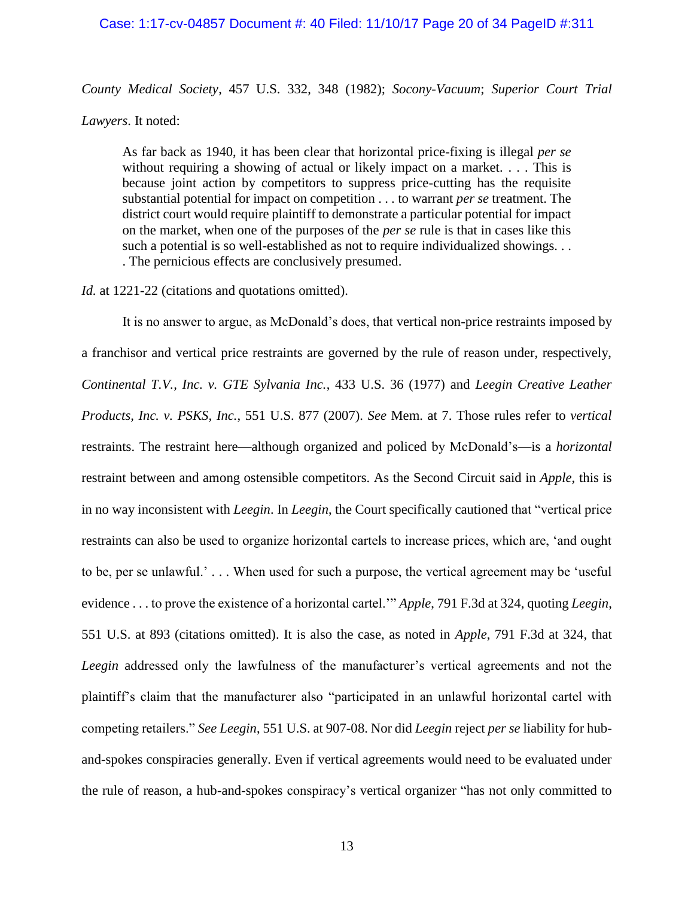## Case: 1:17-cv-04857 Document #: 40 Filed: 11/10/17 Page 20 of 34 PageID #:311

*County Medical Society*, 457 U.S. 332, 348 (1982); *Socony-Vacuum*; *Superior Court Trial* 

*Lawyers*. It noted:

As far back as 1940, it has been clear that horizontal price-fixing is illegal *per se* without requiring a showing of actual or likely impact on a market. . . . This is because joint action by competitors to suppress price-cutting has the requisite substantial potential for impact on competition . . . to warrant *per se* treatment. The district court would require plaintiff to demonstrate a particular potential for impact on the market, when one of the purposes of the *per se* rule is that in cases like this such a potential is so well-established as not to require individualized showings. . . . The pernicious effects are conclusively presumed.

*Id.* at 1221-22 (citations and quotations omitted).

It is no answer to argue, as McDonald's does, that vertical non-price restraints imposed by a franchisor and vertical price restraints are governed by the rule of reason under, respectively, *Continental T.V., Inc. v. GTE Sylvania Inc.*, 433 U.S. 36 (1977) and *Leegin Creative Leather Products, Inc. v. PSKS, Inc.*, 551 U.S. 877 (2007). *See* Mem. at 7. Those rules refer to *vertical* restraints. The restraint here—although organized and policed by McDonald's—is a *horizontal* restraint between and among ostensible competitors. As the Second Circuit said in *Apple*, this is in no way inconsistent with *Leegin*. In *Leegin*, the Court specifically cautioned that "vertical price restraints can also be used to organize horizontal cartels to increase prices, which are, 'and ought to be, per se unlawful.' . . . When used for such a purpose, the vertical agreement may be 'useful evidence . . . to prove the existence of a horizontal cartel.'" *Apple*, 791 F.3d at 324, quoting *Leegin*, 551 U.S. at 893 (citations omitted). It is also the case, as noted in *Apple*, 791 F.3d at 324, that *Leegin* addressed only the lawfulness of the manufacturer's vertical agreements and not the plaintiff's claim that the manufacturer also "participated in an unlawful horizontal cartel with competing retailers." *See Leegin*, 551 U.S. at 907-08. Nor did *Leegin* reject *per se* liability for huband-spokes conspiracies generally. Even if vertical agreements would need to be evaluated under the rule of reason, a hub-and-spokes conspiracy's vertical organizer "has not only committed to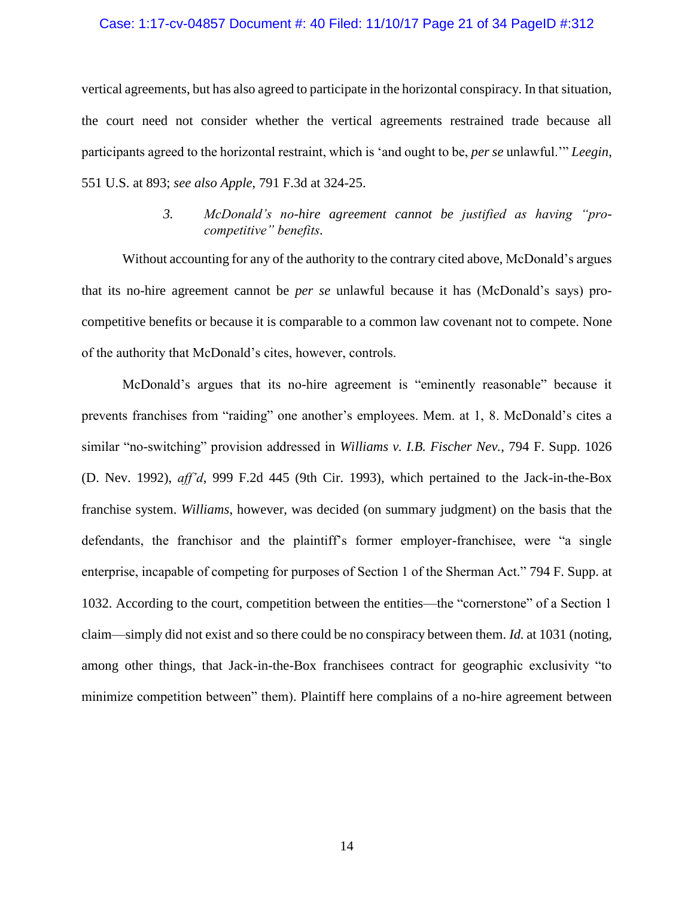## Case: 1:17-cv-04857 Document #: 40 Filed: 11/10/17 Page 21 of 34 PageID #:312

vertical agreements, but has also agreed to participate in the horizontal conspiracy. In that situation, the court need not consider whether the vertical agreements restrained trade because all participants agreed to the horizontal restraint, which is 'and ought to be, *per se* unlawful.'" *Leegin*, 551 U.S. at 893; *see also Apple*, 791 F.3d at 324-25.

## *3. McDonald's no-hire agreement cannot be justified as having "procompetitive" benefits.*

<span id="page-20-0"></span>Without accounting for any of the authority to the contrary cited above, McDonald's argues that its no-hire agreement cannot be *per se* unlawful because it has (McDonald's says) procompetitive benefits or because it is comparable to a common law covenant not to compete. None of the authority that McDonald's cites, however, controls.

McDonald's argues that its no-hire agreement is "eminently reasonable" because it prevents franchises from "raiding" one another's employees. Mem. at 1, 8. McDonald's cites a similar "no-switching" provision addressed in *Williams v. I.B. Fischer Nev.*, 794 F. Supp. 1026 (D. Nev. 1992), *aff'd*, 999 F.2d 445 (9th Cir. 1993), which pertained to the Jack-in-the-Box franchise system. *Williams*, however, was decided (on summary judgment) on the basis that the defendants, the franchisor and the plaintiff's former employer-franchisee, were "a single enterprise, incapable of competing for purposes of Section 1 of the Sherman Act." 794 F. Supp. at 1032. According to the court, competition between the entities—the "cornerstone" of a Section 1 claim—simply did not exist and so there could be no conspiracy between them. *Id.* at 1031 (noting, among other things, that Jack-in-the-Box franchisees contract for geographic exclusivity "to minimize competition between" them). Plaintiff here complains of a no-hire agreement between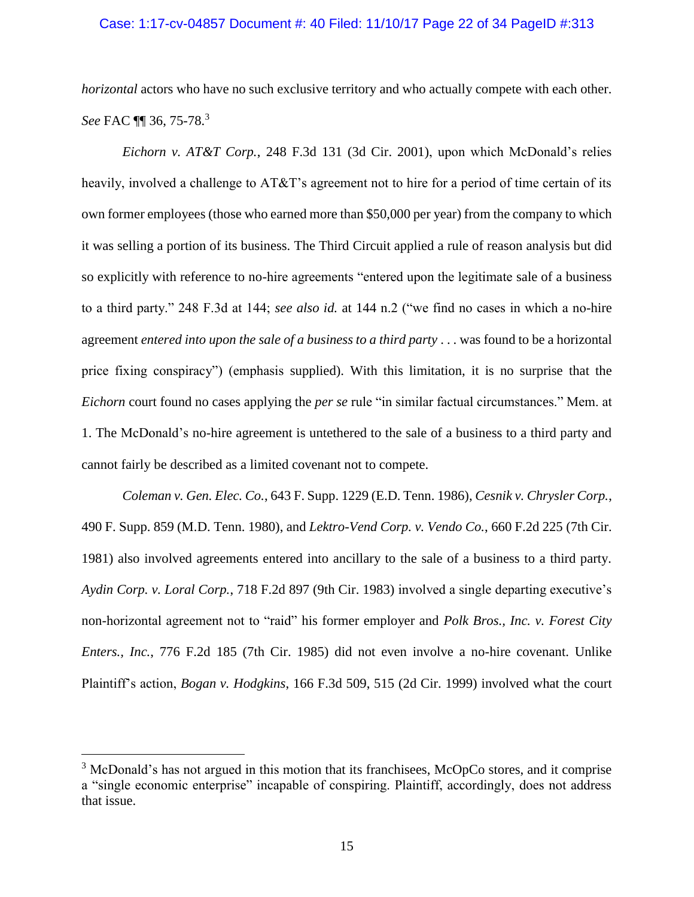## Case: 1:17-cv-04857 Document #: 40 Filed: 11/10/17 Page 22 of 34 PageID #:313

*horizontal* actors who have no such exclusive territory and who actually compete with each other. *See* FAC ¶¶ 36, 75-78. 3

*Eichorn v. AT&T Corp.*, 248 F.3d 131 (3d Cir. 2001), upon which McDonald's relies heavily, involved a challenge to AT&T's agreement not to hire for a period of time certain of its own former employees (those who earned more than \$50,000 per year) from the company to which it was selling a portion of its business. The Third Circuit applied a rule of reason analysis but did so explicitly with reference to no-hire agreements "entered upon the legitimate sale of a business to a third party." 248 F.3d at 144; *see also id.* at 144 n.2 ("we find no cases in which a no-hire agreement *entered into upon the sale of a business to a third party* . . . was found to be a horizontal price fixing conspiracy") (emphasis supplied). With this limitation, it is no surprise that the *Eichorn* court found no cases applying the *per se* rule "in similar factual circumstances." Mem. at 1. The McDonald's no-hire agreement is untethered to the sale of a business to a third party and cannot fairly be described as a limited covenant not to compete.

*Coleman v. Gen. Elec. Co.*, 643 F. Supp. 1229 (E.D. Tenn. 1986), *Cesnik v. Chrysler Corp.*, 490 F. Supp. 859 (M.D. Tenn. 1980), and *Lektro-Vend Corp. v. Vendo Co.*, 660 F.2d 225 (7th Cir. 1981) also involved agreements entered into ancillary to the sale of a business to a third party. *Aydin Corp. v. Loral Corp.*, 718 F.2d 897 (9th Cir. 1983) involved a single departing executive's non-horizontal agreement not to "raid" his former employer and *Polk Bros., Inc. v. Forest City Enters., Inc.*, 776 F.2d 185 (7th Cir. 1985) did not even involve a no-hire covenant. Unlike Plaintiff's action, *Bogan v. Hodgkins*, 166 F.3d 509, 515 (2d Cir. 1999) involved what the court

l

<sup>&</sup>lt;sup>3</sup> McDonald's has not argued in this motion that its franchisees, McOpCo stores, and it comprise a "single economic enterprise" incapable of conspiring. Plaintiff, accordingly, does not address that issue.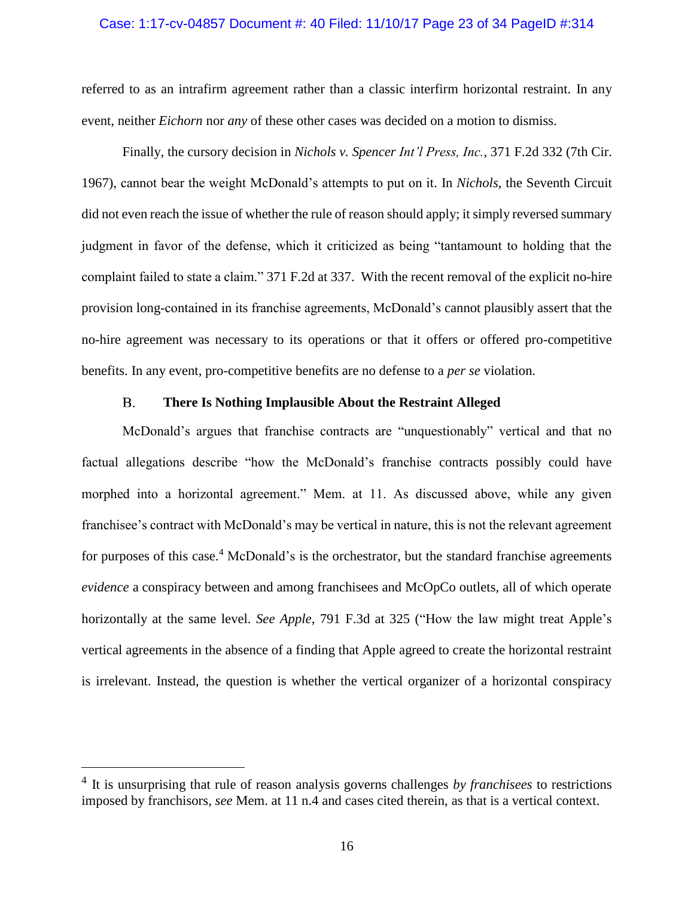## Case: 1:17-cv-04857 Document #: 40 Filed: 11/10/17 Page 23 of 34 PageID #:314

referred to as an intrafirm agreement rather than a classic interfirm horizontal restraint. In any event, neither *Eichorn* nor *any* of these other cases was decided on a motion to dismiss.

Finally, the cursory decision in *Nichols v. Spencer Int'l Press, Inc.*, 371 F.2d 332 (7th Cir. 1967), cannot bear the weight McDonald's attempts to put on it. In *Nichols*, the Seventh Circuit did not even reach the issue of whether the rule of reason should apply; it simply reversed summary judgment in favor of the defense, which it criticized as being "tantamount to holding that the complaint failed to state a claim." 371 F.2d at 337. With the recent removal of the explicit no-hire provision long-contained in its franchise agreements, McDonald's cannot plausibly assert that the no-hire agreement was necessary to its operations or that it offers or offered pro-competitive benefits. In any event, pro-competitive benefits are no defense to a *per se* violation.

#### **There Is Nothing Implausible About the Restraint Alleged**  $B<sub>r</sub>$

<span id="page-22-0"></span>McDonald's argues that franchise contracts are "unquestionably" vertical and that no factual allegations describe "how the McDonald's franchise contracts possibly could have morphed into a horizontal agreement." Mem. at 11. As discussed above, while any given franchisee's contract with McDonald's may be vertical in nature, this is not the relevant agreement for purposes of this case.<sup>4</sup> McDonald's is the orchestrator, but the standard franchise agreements *evidence* a conspiracy between and among franchisees and McOpCo outlets, all of which operate horizontally at the same level. *See Apple*, 791 F.3d at 325 ("How the law might treat Apple's vertical agreements in the absence of a finding that Apple agreed to create the horizontal restraint is irrelevant. Instead, the question is whether the vertical organizer of a horizontal conspiracy

 $\overline{a}$ 

<sup>4</sup> It is unsurprising that rule of reason analysis governs challenges *by franchisees* to restrictions imposed by franchisors, *see* Mem. at 11 n.4 and cases cited therein, as that is a vertical context.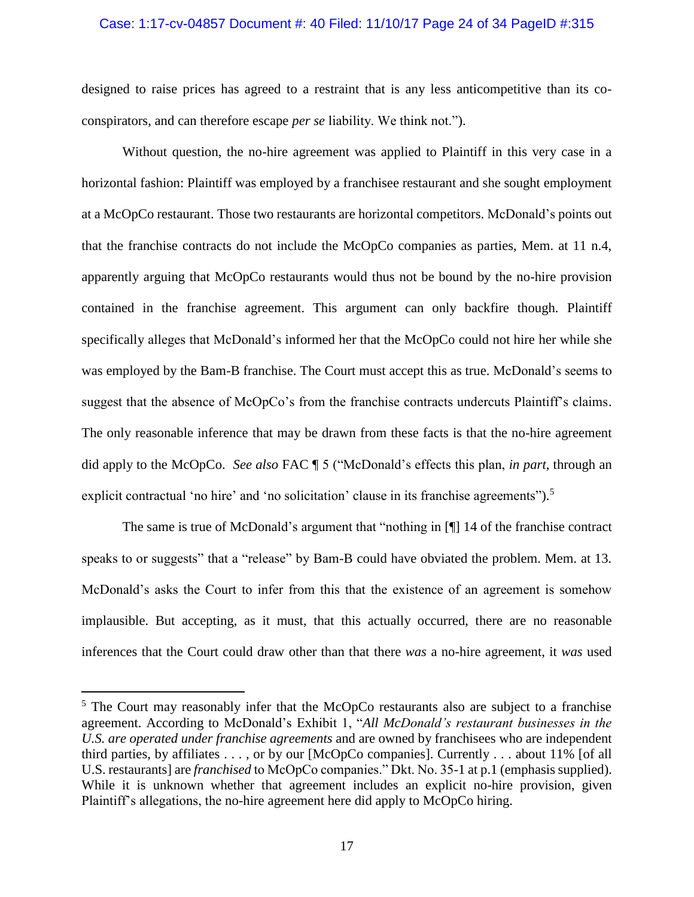## Case: 1:17-cv-04857 Document #: 40 Filed: 11/10/17 Page 24 of 34 PageID #:315

designed to raise prices has agreed to a restraint that is any less anticompetitive than its coconspirators, and can therefore escape *per se* liability. We think not.").

Without question, the no-hire agreement was applied to Plaintiff in this very case in a horizontal fashion: Plaintiff was employed by a franchisee restaurant and she sought employment at a McOpCo restaurant. Those two restaurants are horizontal competitors. McDonald's points out that the franchise contracts do not include the McOpCo companies as parties, Mem. at 11 n.4, apparently arguing that McOpCo restaurants would thus not be bound by the no-hire provision contained in the franchise agreement. This argument can only backfire though. Plaintiff specifically alleges that McDonald's informed her that the McOpCo could not hire her while she was employed by the Bam-B franchise. The Court must accept this as true. McDonald's seems to suggest that the absence of McOpCo's from the franchise contracts undercuts Plaintiff's claims. The only reasonable inference that may be drawn from these facts is that the no-hire agreement did apply to the McOpCo. *See also* FAC ¶ 5 ("McDonald's effects this plan, *in part*, through an explicit contractual 'no hire' and 'no solicitation' clause in its franchise agreements").<sup>5</sup>

The same is true of McDonald's argument that "nothing in [¶] 14 of the franchise contract speaks to or suggests" that a "release" by Bam-B could have obviated the problem. Mem. at 13. McDonald's asks the Court to infer from this that the existence of an agreement is somehow implausible. But accepting, as it must, that this actually occurred, there are no reasonable inferences that the Court could draw other than that there *was* a no-hire agreement, it *was* used

l

<sup>&</sup>lt;sup>5</sup> The Court may reasonably infer that the McOpCo restaurants also are subject to a franchise agreement. According to McDonald's Exhibit 1, "*All McDonald's restaurant businesses in the U.S. are operated under franchise agreements* and are owned by franchisees who are independent third parties, by affiliates . . . , or by our [McOpCo companies]. Currently . . . about 11% [of all U.S. restaurants] are *franchised* to McOpCo companies." Dkt. No. 35-1 at p.1 (emphasis supplied). While it is unknown whether that agreement includes an explicit no-hire provision, given Plaintiff's allegations, the no-hire agreement here did apply to McOpCo hiring.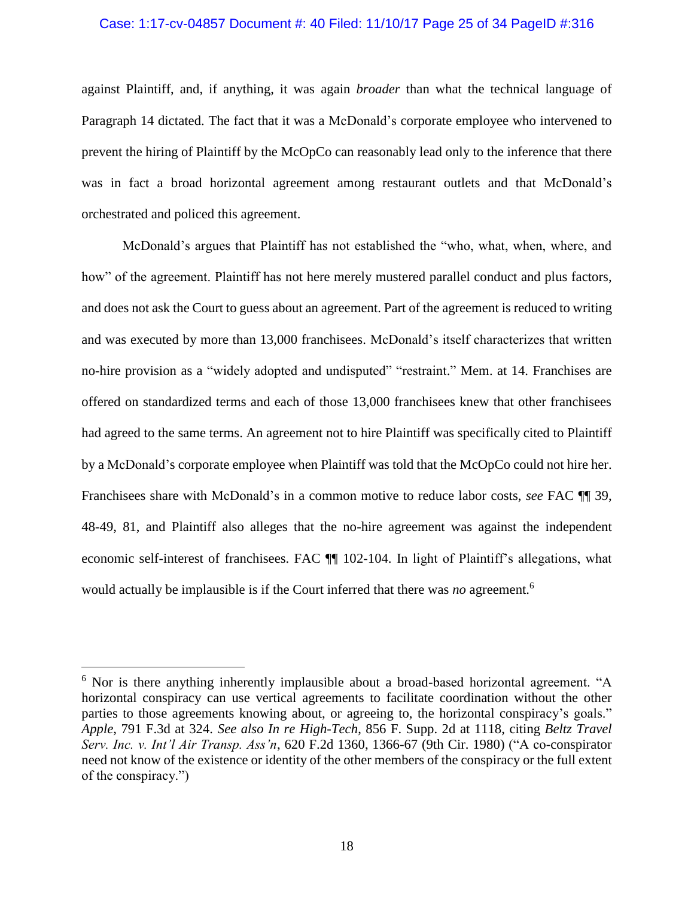## Case: 1:17-cv-04857 Document #: 40 Filed: 11/10/17 Page 25 of 34 PageID #:316

against Plaintiff, and, if anything, it was again *broader* than what the technical language of Paragraph 14 dictated. The fact that it was a McDonald's corporate employee who intervened to prevent the hiring of Plaintiff by the McOpCo can reasonably lead only to the inference that there was in fact a broad horizontal agreement among restaurant outlets and that McDonald's orchestrated and policed this agreement.

McDonald's argues that Plaintiff has not established the "who, what, when, where, and how" of the agreement. Plaintiff has not here merely mustered parallel conduct and plus factors, and does not ask the Court to guess about an agreement. Part of the agreement is reduced to writing and was executed by more than 13,000 franchisees. McDonald's itself characterizes that written no-hire provision as a "widely adopted and undisputed" "restraint." Mem. at 14. Franchises are offered on standardized terms and each of those 13,000 franchisees knew that other franchisees had agreed to the same terms. An agreement not to hire Plaintiff was specifically cited to Plaintiff by a McDonald's corporate employee when Plaintiff was told that the McOpCo could not hire her. Franchisees share with McDonald's in a common motive to reduce labor costs, *see* FAC ¶¶ 39, 48-49, 81, and Plaintiff also alleges that the no-hire agreement was against the independent economic self-interest of franchisees. FAC ¶¶ 102-104. In light of Plaintiff's allegations, what would actually be implausible is if the Court inferred that there was *no* agreement.<sup>6</sup>

l

 $6$  Nor is there anything inherently implausible about a broad-based horizontal agreement. "A horizontal conspiracy can use vertical agreements to facilitate coordination without the other parties to those agreements knowing about, or agreeing to, the horizontal conspiracy's goals." *Apple*, 791 F.3d at 324. *See also In re High-Tech*, 856 F. Supp. 2d at 1118, citing *Beltz Travel Serv. Inc. v. Int'l Air Transp. Ass'n*, 620 F.2d 1360, 1366-67 (9th Cir. 1980) ("A co-conspirator need not know of the existence or identity of the other members of the conspiracy or the full extent of the conspiracy.")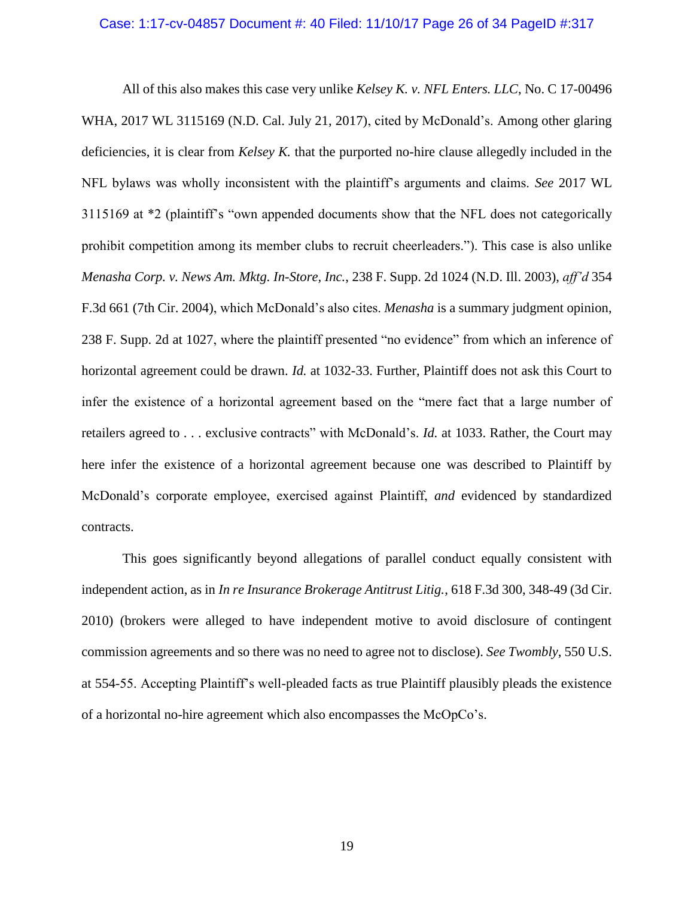## Case: 1:17-cv-04857 Document #: 40 Filed: 11/10/17 Page 26 of 34 PageID #:317

All of this also makes this case very unlike *Kelsey K. v. NFL Enters. LLC*, No. C 17-00496 WHA, 2017 WL 3115169 (N.D. Cal. July 21, 2017), cited by McDonald's. Among other glaring deficiencies, it is clear from *Kelsey K.* that the purported no-hire clause allegedly included in the NFL bylaws was wholly inconsistent with the plaintiff's arguments and claims. *See* 2017 WL 3115169 at \*2 (plaintiff's "own appended documents show that the NFL does not categorically prohibit competition among its member clubs to recruit cheerleaders."). This case is also unlike *Menasha Corp. v. News Am. Mktg. In-Store, Inc.*, 238 F. Supp. 2d 1024 (N.D. Ill. 2003), *aff'd* 354 F.3d 661 (7th Cir. 2004), which McDonald's also cites. *Menasha* is a summary judgment opinion, 238 F. Supp. 2d at 1027, where the plaintiff presented "no evidence" from which an inference of horizontal agreement could be drawn. *Id.* at 1032-33. Further, Plaintiff does not ask this Court to infer the existence of a horizontal agreement based on the "mere fact that a large number of retailers agreed to . . . exclusive contracts" with McDonald's. *Id.* at 1033. Rather, the Court may here infer the existence of a horizontal agreement because one was described to Plaintiff by McDonald's corporate employee, exercised against Plaintiff, *and* evidenced by standardized contracts.

This goes significantly beyond allegations of parallel conduct equally consistent with independent action, as in *In re Insurance Brokerage Antitrust Litig.*, 618 F.3d 300, 348-49 (3d Cir. 2010) (brokers were alleged to have independent motive to avoid disclosure of contingent commission agreements and so there was no need to agree not to disclose). *See Twombly*, 550 U.S. at 554-55. Accepting Plaintiff's well-pleaded facts as true Plaintiff plausibly pleads the existence of a horizontal no-hire agreement which also encompasses the McOpCo's.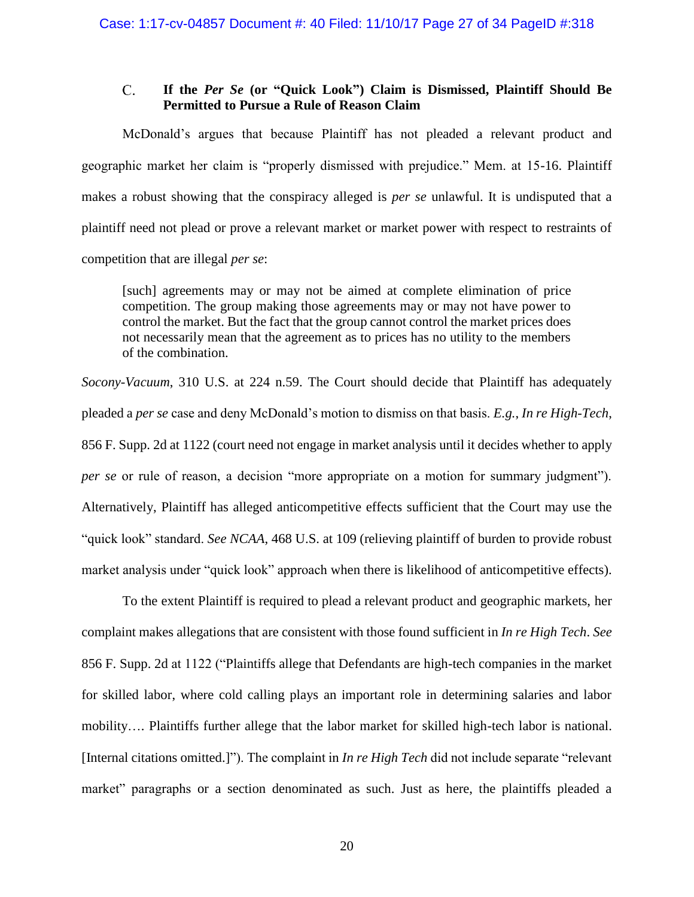### <span id="page-26-0"></span> $\overline{C}$ . **If the** *Per Se* **(or "Quick Look") Claim is Dismissed, Plaintiff Should Be Permitted to Pursue a Rule of Reason Claim**

McDonald's argues that because Plaintiff has not pleaded a relevant product and geographic market her claim is "properly dismissed with prejudice." Mem. at 15-16. Plaintiff makes a robust showing that the conspiracy alleged is *per se* unlawful. It is undisputed that a plaintiff need not plead or prove a relevant market or market power with respect to restraints of competition that are illegal *per se*:

[such] agreements may or may not be aimed at complete elimination of price competition. The group making those agreements may or may not have power to control the market. But the fact that the group cannot control the market prices does not necessarily mean that the agreement as to prices has no utility to the members of the combination.

*Socony-Vacuum*, 310 U.S. at 224 n.59. The Court should decide that Plaintiff has adequately pleaded a *per se* case and deny McDonald's motion to dismiss on that basis. *E.g.*, *In re High-Tech*, 856 F. Supp. 2d at 1122 (court need not engage in market analysis until it decides whether to apply *per se* or rule of reason, a decision "more appropriate on a motion for summary judgment"). Alternatively, Plaintiff has alleged anticompetitive effects sufficient that the Court may use the "quick look" standard. *See NCAA*, 468 U.S. at 109 (relieving plaintiff of burden to provide robust market analysis under "quick look" approach when there is likelihood of anticompetitive effects).

To the extent Plaintiff is required to plead a relevant product and geographic markets, her complaint makes allegations that are consistent with those found sufficient in *In re High Tech*. *See* 856 F. Supp. 2d at 1122 ("Plaintiffs allege that Defendants are high-tech companies in the market for skilled labor, where cold calling plays an important role in determining salaries and labor mobility…. Plaintiffs further allege that the labor market for skilled high-tech labor is national. [Internal citations omitted.]"). The complaint in *In re High Tech* did not include separate "relevant market" paragraphs or a section denominated as such. Just as here, the plaintiffs pleaded a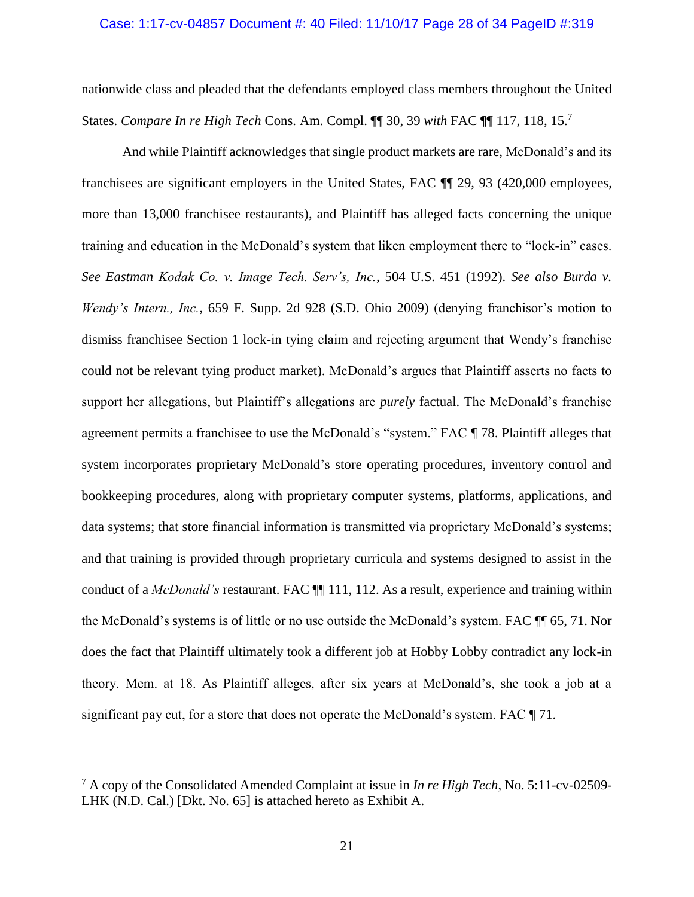## Case: 1:17-cv-04857 Document #: 40 Filed: 11/10/17 Page 28 of 34 PageID #:319

nationwide class and pleaded that the defendants employed class members throughout the United States. *Compare In re High Tech* Cons. Am. Compl. ¶¶ 30, 39 *with* FAC ¶¶ 117, 118, 15. 7

And while Plaintiff acknowledges that single product markets are rare, McDonald's and its franchisees are significant employers in the United States, FAC ¶¶ 29, 93 (420,000 employees, more than 13,000 franchisee restaurants), and Plaintiff has alleged facts concerning the unique training and education in the McDonald's system that liken employment there to "lock-in" cases. *See Eastman Kodak Co. v. Image Tech. Serv's, Inc.*, 504 U.S. 451 (1992). *See also Burda v. Wendy's Intern., Inc.*, 659 F. Supp. 2d 928 (S.D. Ohio 2009) (denying franchisor's motion to dismiss franchisee Section 1 lock-in tying claim and rejecting argument that Wendy's franchise could not be relevant tying product market). McDonald's argues that Plaintiff asserts no facts to support her allegations, but Plaintiff's allegations are *purely* factual. The McDonald's franchise agreement permits a franchisee to use the McDonald's "system." FAC ¶ 78. Plaintiff alleges that system incorporates proprietary McDonald's store operating procedures, inventory control and bookkeeping procedures, along with proprietary computer systems, platforms, applications, and data systems; that store financial information is transmitted via proprietary McDonald's systems; and that training is provided through proprietary curricula and systems designed to assist in the conduct of a *McDonald's* restaurant. FAC ¶¶ 111, 112. As a result, experience and training within the McDonald's systems is of little or no use outside the McDonald's system. FAC ¶¶ 65, 71. Nor does the fact that Plaintiff ultimately took a different job at Hobby Lobby contradict any lock-in theory. Mem. at 18. As Plaintiff alleges, after six years at McDonald's, she took a job at a significant pay cut, for a store that does not operate the McDonald's system. FAC ¶ 71.

l

<sup>7</sup> A copy of the Consolidated Amended Complaint at issue in *In re High Tech*, No. 5:11-cv-02509- LHK (N.D. Cal.) [Dkt. No. 65] is attached hereto as Exhibit A.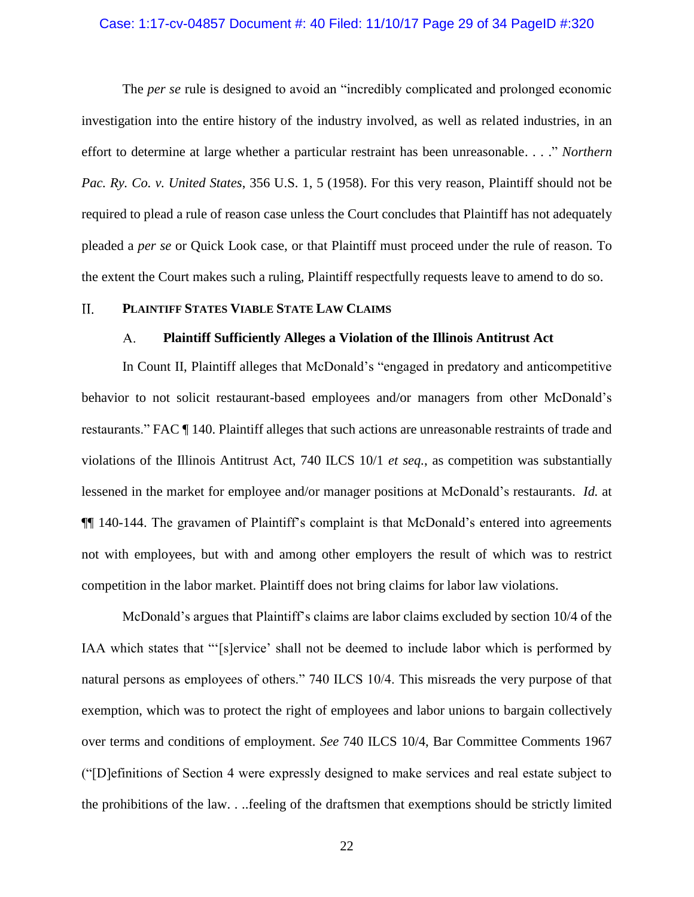## Case: 1:17-cv-04857 Document #: 40 Filed: 11/10/17 Page 29 of 34 PageID #:320

The *per se* rule is designed to avoid an "incredibly complicated and prolonged economic investigation into the entire history of the industry involved, as well as related industries, in an effort to determine at large whether a particular restraint has been unreasonable. . . ." *Northern Pac. Ry. Co. v. United States*, 356 U.S. 1, 5 (1958). For this very reason, Plaintiff should not be required to plead a rule of reason case unless the Court concludes that Plaintiff has not adequately pleaded a *per se* or Quick Look case, or that Plaintiff must proceed under the rule of reason. To the extent the Court makes such a ruling, Plaintiff respectfully requests leave to amend to do so.

#### <span id="page-28-1"></span><span id="page-28-0"></span> $II.$ **PLAINTIFF STATES VIABLE STATE LAW CLAIMS**

#### **Plaintiff Sufficiently Alleges a Violation of the Illinois Antitrust Act**   $A_{\cdot}$

In Count II, Plaintiff alleges that McDonald's "engaged in predatory and anticompetitive behavior to not solicit restaurant-based employees and/or managers from other McDonald's restaurants." FAC ¶ 140. Plaintiff alleges that such actions are unreasonable restraints of trade and violations of the Illinois Antitrust Act, 740 ILCS 10/1 *et seq.*, as competition was substantially lessened in the market for employee and/or manager positions at McDonald's restaurants. *Id.* at ¶¶ 140-144. The gravamen of Plaintiff's complaint is that McDonald's entered into agreements not with employees, but with and among other employers the result of which was to restrict competition in the labor market. Plaintiff does not bring claims for labor law violations.

McDonald's argues that Plaintiff's claims are labor claims excluded by section 10/4 of the IAA which states that "'[s]ervice' shall not be deemed to include labor which is performed by natural persons as employees of others." 740 ILCS 10/4. This misreads the very purpose of that exemption, which was to protect the right of employees and labor unions to bargain collectively over terms and conditions of employment. *See* 740 ILCS 10/4, Bar Committee Comments 1967 ("[D]efinitions of Section 4 were expressly designed to make services and real estate subject to the prohibitions of the law. . ..feeling of the draftsmen that exemptions should be strictly limited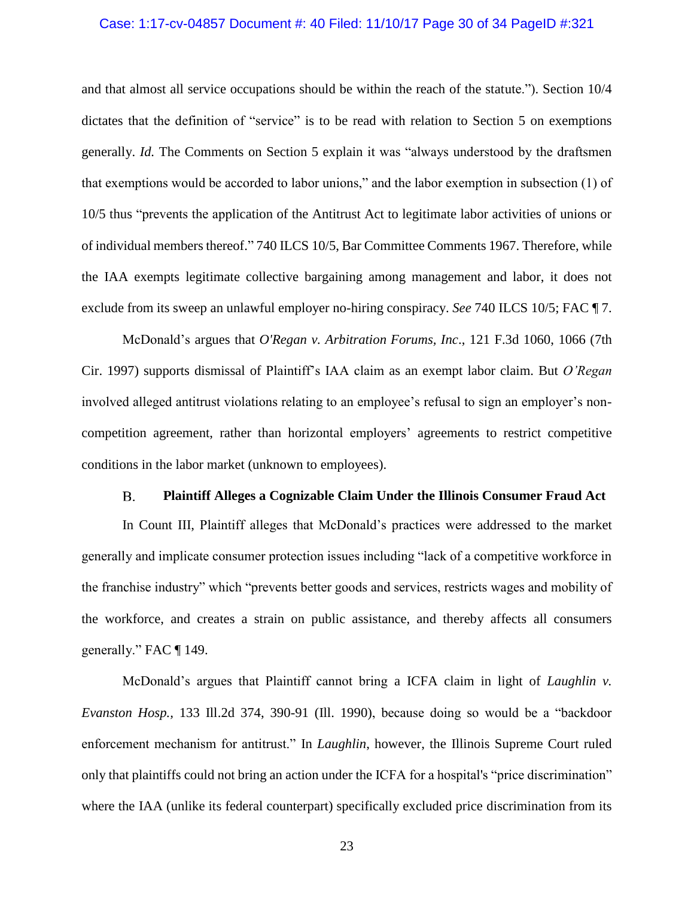## Case: 1:17-cv-04857 Document #: 40 Filed: 11/10/17 Page 30 of 34 PageID #:321

and that almost all service occupations should be within the reach of the statute."). Section 10/4 dictates that the definition of "service" is to be read with relation to Section 5 on exemptions generally. *Id.* The Comments on Section 5 explain it was "always understood by the draftsmen that exemptions would be accorded to labor unions," and the labor exemption in subsection (1) of 10/5 thus "prevents the application of the Antitrust Act to legitimate labor activities of unions or of individual members thereof." 740 ILCS 10/5, Bar Committee Comments 1967. Therefore, while the IAA exempts legitimate collective bargaining among management and labor, it does not exclude from its sweep an unlawful employer no-hiring conspiracy. *See* 740 ILCS 10/5; FAC ¶ 7.

McDonald's argues that *O'Regan v. Arbitration Forums, Inc*., 121 F.3d 1060, 1066 (7th Cir. 1997) supports dismissal of Plaintiff's IAA claim as an exempt labor claim. But *O'Regan* involved alleged antitrust violations relating to an employee's refusal to sign an employer's noncompetition agreement, rather than horizontal employers' agreements to restrict competitive conditions in the labor market (unknown to employees).

#### **Plaintiff Alleges a Cognizable Claim Under the Illinois Consumer Fraud Act**   $B<sub>r</sub>$

<span id="page-29-0"></span>In Count III, Plaintiff alleges that McDonald's practices were addressed to the market generally and implicate consumer protection issues including "lack of a competitive workforce in the franchise industry" which "prevents better goods and services, restricts wages and mobility of the workforce, and creates a strain on public assistance, and thereby affects all consumers generally." FAC ¶ 149.

McDonald's argues that Plaintiff cannot bring a ICFA claim in light of *Laughlin v. Evanston Hosp.,* 133 Ill.2d 374, 390-91 (Ill. 1990), because doing so would be a "backdoor enforcement mechanism for antitrust." In *Laughlin*, however, the Illinois Supreme Court ruled only that plaintiffs could not bring an action under the ICFA for a hospital's "price discrimination" where the IAA (unlike its federal counterpart) specifically excluded price discrimination from its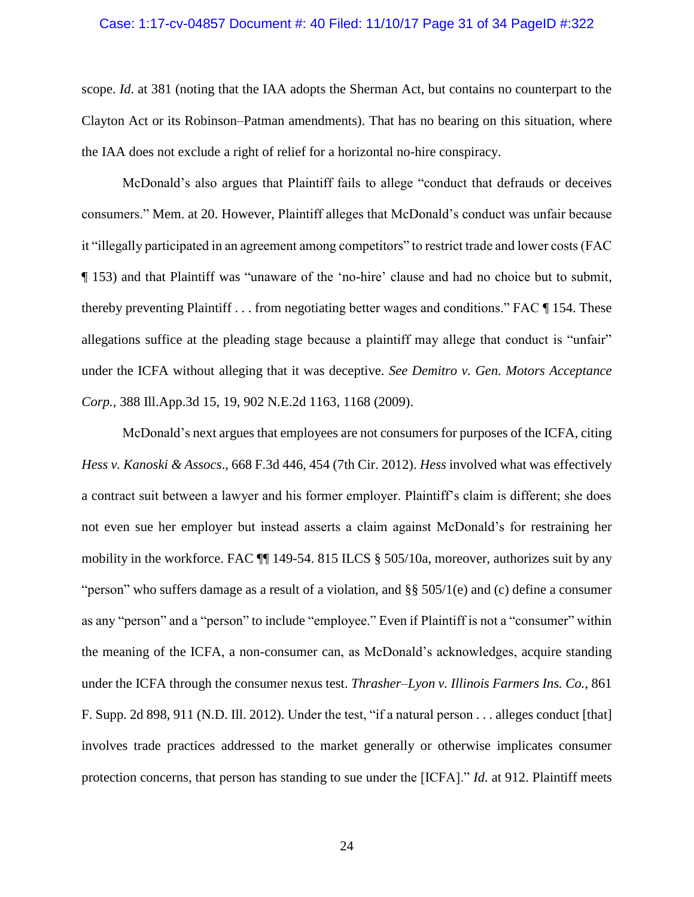## Case: 1:17-cv-04857 Document #: 40 Filed: 11/10/17 Page 31 of 34 PageID #:322

scope. *Id*. at 381 (noting that the IAA adopts the Sherman Act, but contains no counterpart to the Clayton Act or its Robinson–Patman amendments). That has no bearing on this situation, where the IAA does not exclude a right of relief for a horizontal no-hire conspiracy.

McDonald's also argues that Plaintiff fails to allege "conduct that defrauds or deceives consumers." Mem. at 20. However, Plaintiff alleges that McDonald's conduct was unfair because it "illegally participated in an agreement among competitors" to restrict trade and lower costs (FAC ¶ 153) and that Plaintiff was "unaware of the 'no-hire' clause and had no choice but to submit, thereby preventing Plaintiff . . . from negotiating better wages and conditions." FAC ¶ 154. These allegations suffice at the pleading stage because a plaintiff may allege that conduct is "unfair" under the ICFA without alleging that it was deceptive. *See Demitro v. Gen. Motors Acceptance Corp.*, 388 Ill.App.3d 15, 19, 902 N.E.2d 1163, 1168 (2009).

McDonald's next argues that employees are not consumers for purposes of the ICFA, citing *Hess v. Kanoski & Assocs*., 668 F.3d 446, 454 (7th Cir. 2012). *Hess* involved what was effectively a contract suit between a lawyer and his former employer. Plaintiff's claim is different; she does not even sue her employer but instead asserts a claim against McDonald's for restraining her mobility in the workforce. FAC ¶¶ 149-54. 815 ILCS § 505/10a, moreover, authorizes suit by any "person" who suffers damage as a result of a violation, and  $\S$ § 505/1(e) and (c) define a consumer as any "person" and a "person" to include "employee." Even if Plaintiff is not a "consumer" within the meaning of the ICFA, a non-consumer can, as McDonald's acknowledges, acquire standing under the ICFA through the consumer nexus test. *Thrasher–Lyon v. Illinois Farmers Ins. Co.*, 861 F. Supp. 2d 898, 911 (N.D. Ill. 2012). Under the test, "if a natural person . . . alleges conduct [that] involves trade practices addressed to the market generally or otherwise implicates consumer protection concerns, that person has standing to sue under the [ICFA]." *Id*. at 912. Plaintiff meets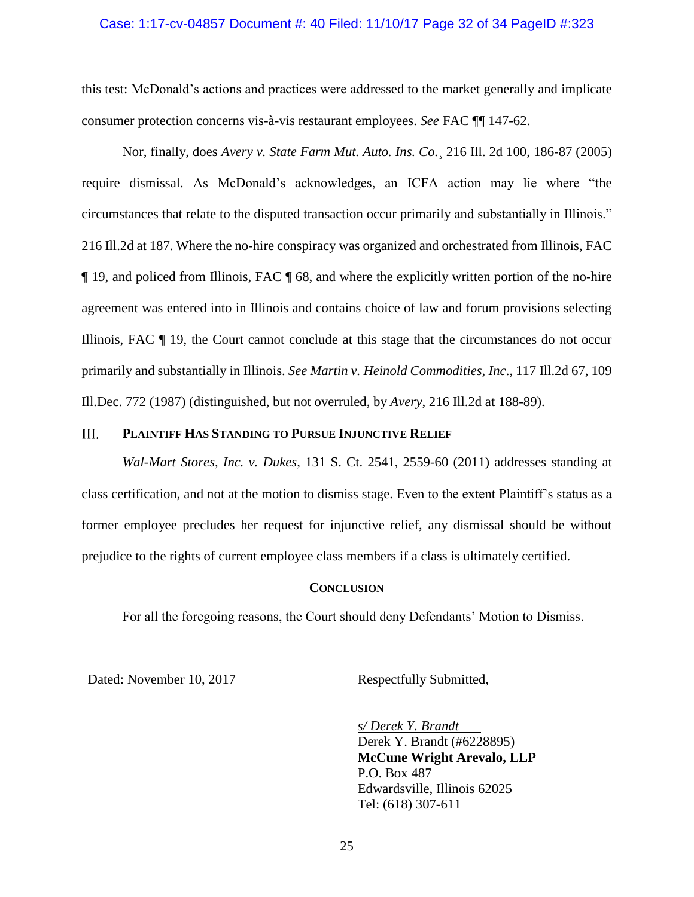## Case: 1:17-cv-04857 Document #: 40 Filed: 11/10/17 Page 32 of 34 PageID #:323

this test: McDonald's actions and practices were addressed to the market generally and implicate consumer protection concerns vis-à-vis restaurant employees. *See* FAC ¶¶ 147-62.

Nor, finally, does *Avery v. State Farm Mut. Auto. Ins. Co.*¸ 216 Ill. 2d 100, 186-87 (2005) require dismissal. As McDonald's acknowledges, an ICFA action may lie where "the circumstances that relate to the disputed transaction occur primarily and substantially in Illinois." 216 Ill.2d at 187. Where the no-hire conspiracy was organized and orchestrated from Illinois, FAC ¶ 19, and policed from Illinois, FAC ¶ 68, and where the explicitly written portion of the no-hire agreement was entered into in Illinois and contains choice of law and forum provisions selecting Illinois, FAC ¶ 19, the Court cannot conclude at this stage that the circumstances do not occur primarily and substantially in Illinois. *See Martin v. Heinold Commodities, Inc*., 117 Ill.2d 67, 109 Ill.Dec. 772 (1987) (distinguished, but not overruled, by *Avery*, 216 Ill.2d at 188-89).

#### <span id="page-31-0"></span>III. **PLAINTIFF HAS STANDING TO PURSUE INJUNCTIVE RELIEF**

*Wal-Mart Stores, Inc. v. Dukes,* 131 S. Ct. 2541, 2559-60 (2011) addresses standing at class certification, and not at the motion to dismiss stage. Even to the extent Plaintiff's status as a former employee precludes her request for injunctive relief, any dismissal should be without prejudice to the rights of current employee class members if a class is ultimately certified.

## **CONCLUSION**

<span id="page-31-1"></span>For all the foregoing reasons, the Court should deny Defendants' Motion to Dismiss.

Dated: November 10, 2017 Respectfully Submitted,

*s/ Derek Y. Brandt* Derek Y. Brandt (#6228895) **McCune Wright Arevalo, LLP** P.O. Box 487 Edwardsville, Illinois 62025 Tel: (618) 307-611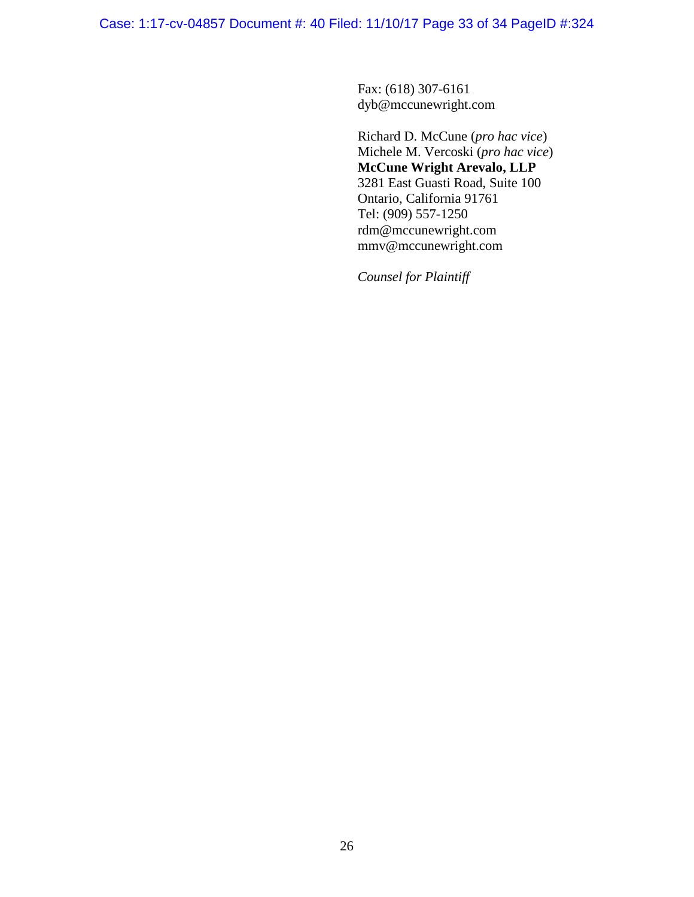Case: 1:17-cv-04857 Document #: 40 Filed: 11/10/17 Page 33 of 34 PageID #:324

Fax: (618) 307-6161 dyb@mccunewright.com

Richard D. McCune (*pro hac vice*) Michele M. Vercoski (*pro hac vice*) **McCune Wright Arevalo, LLP** 3281 East Guasti Road, Suite 100 Ontario, California 91761 Tel: (909) 557-1250 rdm@mccunewright.com mmv@mccunewright.com

*Counsel for Plaintiff*